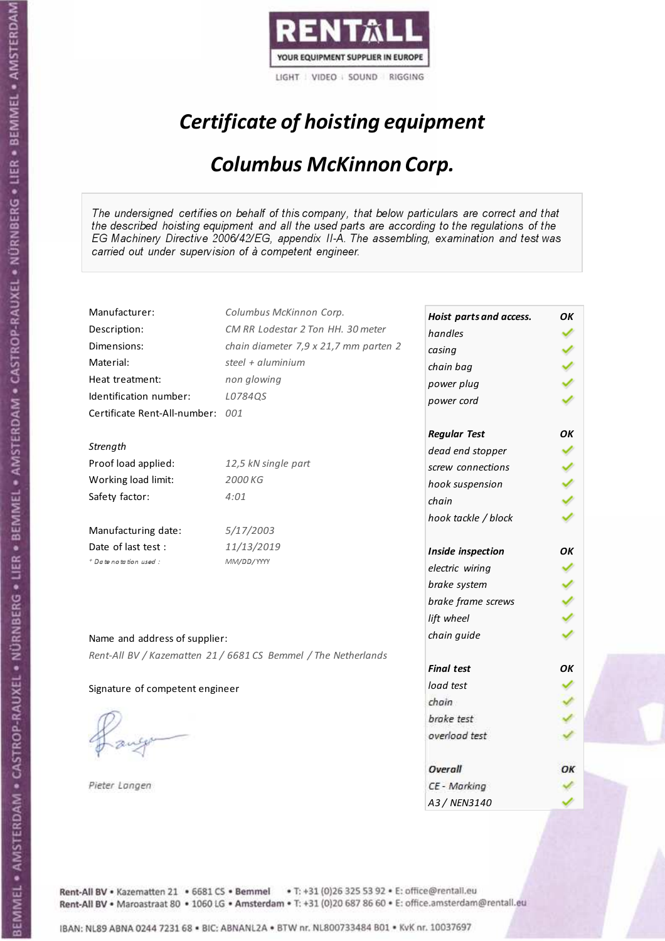

# Certificate of hoisting equipment

#### Columbus McKinnon Corp.

The undersigned certifies on behalf of this company, that below particulars are correct and that the described hoisting equipment and all the used parts are according to the regulations of the EG Machinery Directive 2006/42/EG, appendix II-A. The assembling, examination and test was carried out under supervision of à competent engineer.

| Manufacturer:                    | Columbus McKinnon Corp.                                        | Hoist parts and access. | OK |
|----------------------------------|----------------------------------------------------------------|-------------------------|----|
| Description:                     | CM RR Lodestar 2 Ton HH. 30 meter                              | handles                 |    |
| Dimensions:                      | chain diameter 7,9 x 21,7 mm parten 2                          | casing                  |    |
| Material:                        | steel + aluminium                                              | chain bag               |    |
| Heat treatment:                  | non glowing                                                    | power plug              |    |
| Identification number:           | L0784QS                                                        | power cord              |    |
| Certificate Rent-All-number: 001 |                                                                |                         |    |
|                                  |                                                                | <b>Regular Test</b>     | OK |
| Strength                         |                                                                | dead end stopper        |    |
| Proof load applied:              | 12,5 kN single part                                            | screw connections       |    |
| Working load limit:              | 2000 KG                                                        | hook suspension         |    |
| Safety factor:                   | 4:01                                                           | chain                   |    |
|                                  |                                                                | hook tackle / block     |    |
| Manufacturing date:              | 5/17/2003                                                      |                         |    |
| Date of last test :              | 11/13/2019                                                     | Inside inspection       | ΟK |
| * Date notation used :           | MM/DD/YYYY                                                     | electric wiring         |    |
|                                  |                                                                | brake system            |    |
|                                  |                                                                | brake frame screws      |    |
|                                  |                                                                | lift wheel              |    |
|                                  |                                                                | chain guide             |    |
| Name and address of supplier:    |                                                                |                         |    |
|                                  | Rent-All BV / Kazematten 21 / 6681 CS Bemmel / The Netherlands | <b>Final test</b>       | OК |
| Signature of competent engineer  |                                                                | load test               |    |
|                                  |                                                                | chain                   |    |
|                                  |                                                                | brake test              |    |
|                                  |                                                                | overload test           |    |
|                                  |                                                                |                         |    |
|                                  |                                                                | Overall                 | ОΚ |
| Pieter Langen                    |                                                                | CE - Marking            |    |
|                                  |                                                                | A3 / NEN3140            |    |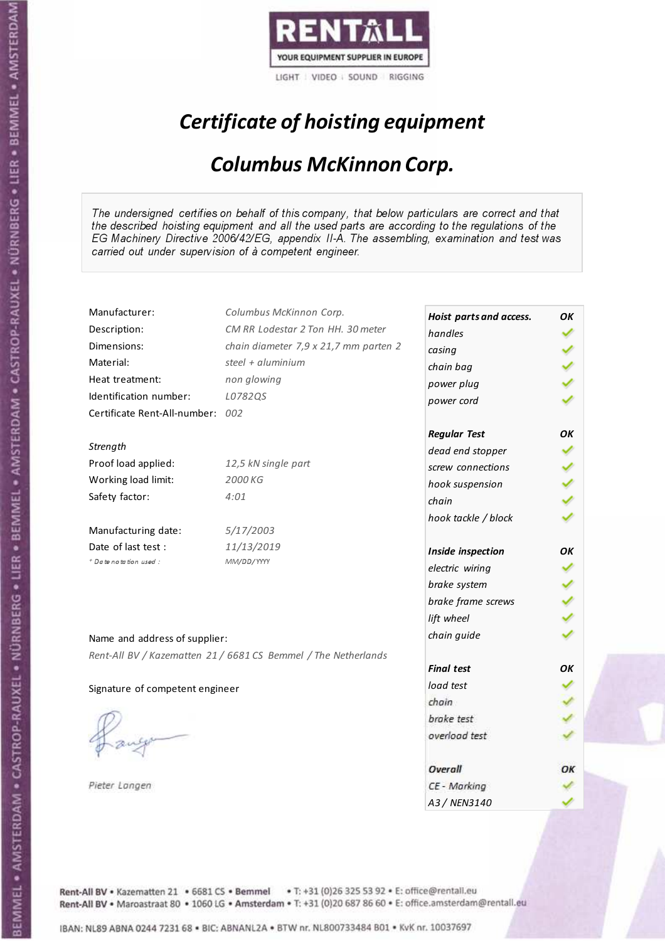

# Certificate of hoisting equipment

#### Columbus McKinnon Corp.

The undersigned certifies on behalf of this company, that below particulars are correct and that the described hoisting equipment and all the used parts are according to the regulations of the EG Machinery Directive 2006/42/EG, appendix II-A. The assembling, examination and test was carried out under supervision of à competent engineer.

| Manufacturer:                    | Columbus McKinnon Corp.                                        | Hoist parts and access. | OK |
|----------------------------------|----------------------------------------------------------------|-------------------------|----|
| Description:                     | CM RR Lodestar 2 Ton HH. 30 meter                              | handles                 |    |
| Dimensions:                      | chain diameter 7,9 x 21,7 mm parten 2                          | casing                  |    |
| Material:                        | steel + aluminium                                              | chain bag               |    |
| Heat treatment:                  | non glowing                                                    | power plug              |    |
| Identification number:           | L0782QS                                                        | power cord              |    |
| Certificate Rent-All-number: 002 |                                                                |                         |    |
|                                  |                                                                | <b>Regular Test</b>     | OK |
| Strength                         |                                                                | dead end stopper        |    |
| Proof load applied:              | 12,5 kN single part                                            | screw connections       |    |
| Working load limit:              | 2000 KG                                                        | hook suspension         |    |
| Safety factor:                   | 4:01                                                           | chain                   |    |
|                                  |                                                                | hook tackle / block     |    |
| Manufacturing date:              | 5/17/2003                                                      |                         |    |
| Date of last test :              | 11/13/2019                                                     | Inside inspection       | ΟK |
| * Date notation used :           | MM/DD/YYYY                                                     | electric wiring         |    |
|                                  |                                                                | brake system            |    |
|                                  |                                                                | brake frame screws      |    |
|                                  |                                                                | lift wheel              |    |
|                                  |                                                                |                         |    |
| Name and address of supplier:    |                                                                | chain guide             |    |
|                                  | Rent-All BV / Kazematten 21 / 6681 CS Bemmel / The Netherlands |                         |    |
|                                  |                                                                | <b>Final test</b>       | OК |
| Signature of competent engineer  |                                                                | load test               |    |
|                                  |                                                                | chain                   |    |
|                                  |                                                                | brake test              |    |
|                                  |                                                                | overload test           |    |
|                                  |                                                                | Overall                 | ОΚ |
| Pieter Langen                    |                                                                | CE - Marking            |    |
|                                  |                                                                | A3 / NEN3140            |    |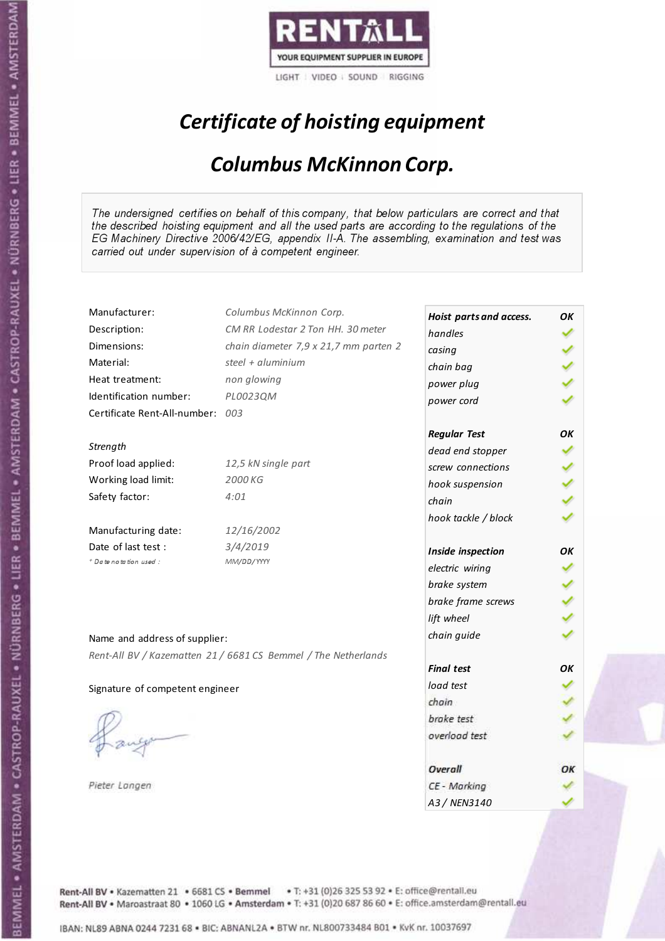

# Certificate of hoisting equipment

#### Columbus McKinnon Corp.

The undersigned certifies on behalf of this company, that below particulars are correct and that the described hoisting equipment and all the used parts are according to the regulations of the EG Machinery Directive 2006/42/EG, appendix II-A. The assembling, examination and test was carried out under supervision of à competent engineer.

| Manufacturer:                   | Columbus McKinnon Corp.                                        | Hoist parts and access. | ΟK |
|---------------------------------|----------------------------------------------------------------|-------------------------|----|
| Description:                    | CM RR Lodestar 2 Ton HH. 30 meter                              | handles                 |    |
| Dimensions:                     | chain diameter 7,9 x 21,7 mm parten 2                          | casing                  |    |
| Material:                       | steel $+$ aluminium                                            | chain bag               |    |
| Heat treatment:                 | non glowing                                                    | power plug              |    |
| Identification number:          | PL0023QM                                                       | power cord              |    |
| Certificate Rent-All-number:    | 003                                                            |                         |    |
|                                 |                                                                | <b>Regular Test</b>     | OΚ |
| Strength                        |                                                                | dead end stopper        |    |
| Proof load applied:             | 12,5 kN single part                                            | screw connections       |    |
| Working load limit:             | 2000 KG                                                        | hook suspension         |    |
| Safety factor:                  | 4:01                                                           | chain                   |    |
|                                 |                                                                | hook tackle / block     |    |
| Manufacturing date:             | 12/16/2002                                                     |                         |    |
| Date of last test:              | 3/4/2019                                                       | Inside inspection       | ΟK |
| * Date notation used :          | MM/DD/YYYY                                                     | electric wiring         |    |
|                                 |                                                                | brake system            |    |
|                                 |                                                                | brake frame screws      |    |
|                                 |                                                                | lift wheel              |    |
| Name and address of supplier:   |                                                                | chain guide             |    |
|                                 | Rent-All BV / Kazematten 21 / 6681 CS Bemmel / The Netherlands |                         |    |
|                                 |                                                                | <b>Final test</b>       | ΟK |
| Signature of competent engineer |                                                                | load test               |    |
|                                 |                                                                | chain                   |    |
|                                 |                                                                | brake test              |    |
|                                 |                                                                | overload test           |    |
|                                 |                                                                |                         |    |
|                                 |                                                                | Overall                 | ОК |
| Pieter Langen                   |                                                                | CE - Marking            |    |
|                                 |                                                                | A3 / NEN3140            |    |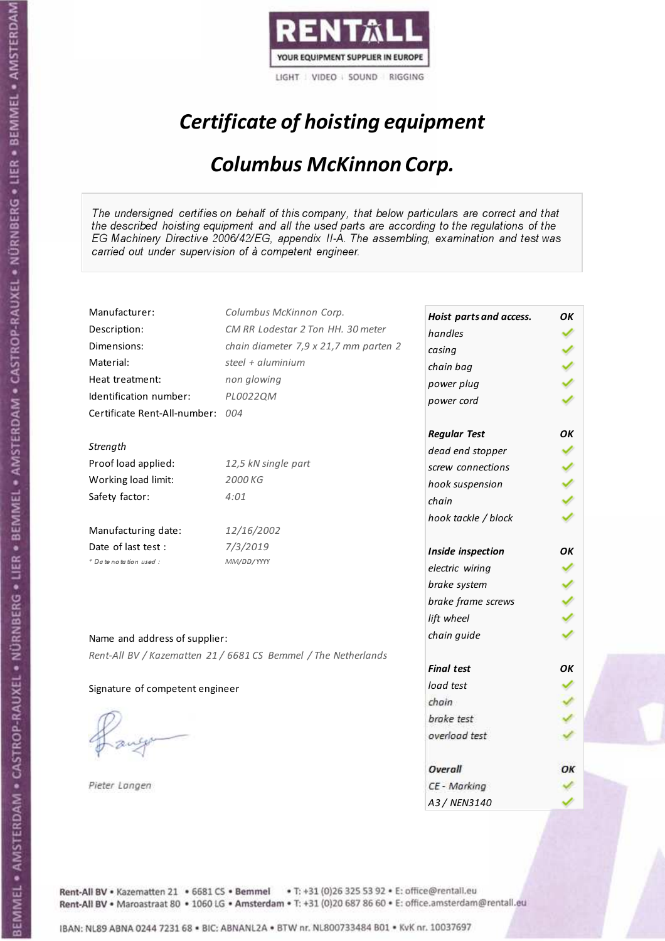

# Certificate of hoisting equipment

#### Columbus McKinnon Corp.

The undersigned certifies on behalf of this company, that below particulars are correct and that the described hoisting equipment and all the used parts are according to the regulations of the EG Machinery Directive 2006/42/EG, appendix II-A. The assembling, examination and test was carried out under supervision of à competent engineer.

| Manufacturer:                   | Columbus McKinnon Corp.                                        | Hoist parts and access. | ΟK  |
|---------------------------------|----------------------------------------------------------------|-------------------------|-----|
| Description:                    | CM RR Lodestar 2 Ton HH. 30 meter                              | handles                 |     |
| Dimensions:                     | chain diameter 7,9 x 21,7 mm parten 2                          | casing                  |     |
| Material:                       | steel + $aluminim$                                             | chain bag               |     |
| Heat treatment:                 | non glowing                                                    | power plug              |     |
| Identification number:          | PL0022QM                                                       | power cord              |     |
| Certificate Rent-All-number:    | 004                                                            |                         |     |
|                                 |                                                                | <b>Regular Test</b>     | OΚ  |
| Strength                        |                                                                | dead end stopper        |     |
| Proof load applied:             | 12,5 kN single part                                            | screw connections       |     |
| Working load limit:             | 2000 KG                                                        | hook suspension         |     |
| Safety factor:                  | 4:01                                                           | chain                   |     |
|                                 |                                                                | hook tackle / block     |     |
| Manufacturing date:             | 12/16/2002                                                     |                         |     |
| Date of last test :             | 7/3/2019                                                       | Inside inspection       | ΟK  |
| + Date notation used :          | MM/DD/YYYY                                                     | electric wiring         |     |
|                                 |                                                                | brake system            |     |
|                                 |                                                                | brake frame screws      |     |
|                                 |                                                                | lift wheel              |     |
| Name and address of supplier:   |                                                                | chain guide             |     |
|                                 | Rent-All BV / Kazematten 21 / 6681 CS Bemmel / The Netherlands |                         |     |
|                                 |                                                                | <b>Final test</b>       | OΚ. |
| Signature of competent engineer |                                                                | load test               |     |
|                                 |                                                                | chain                   |     |
|                                 |                                                                | brake test              |     |
|                                 |                                                                | overload test           |     |
|                                 |                                                                |                         |     |
|                                 |                                                                | Overall                 | ОΚ  |
| Pieter Langen                   |                                                                | CE - Marking            |     |
|                                 |                                                                | A3 / NEN3140            |     |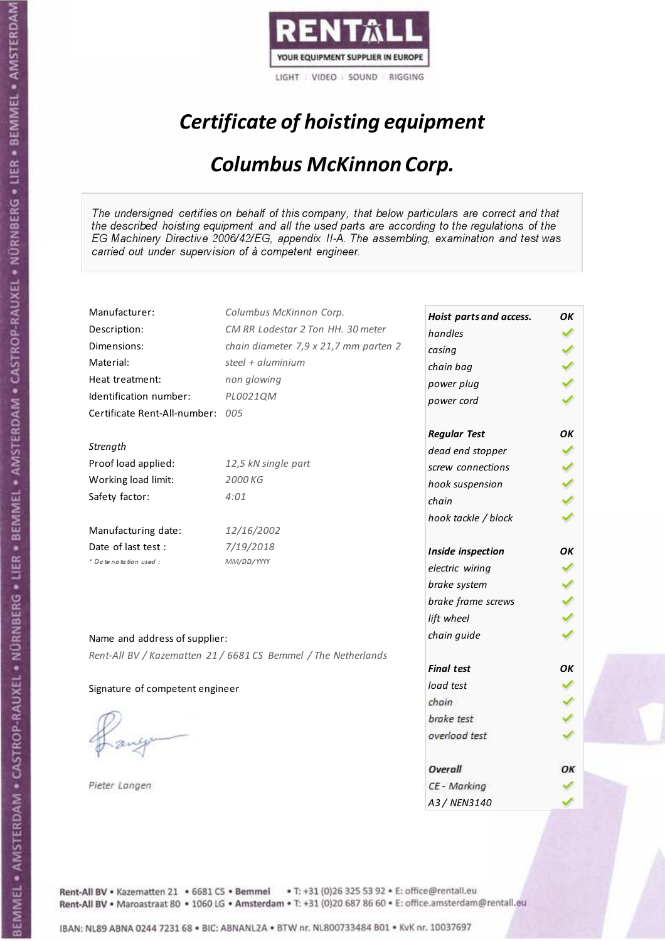

# Certificate of hoisting equipment

#### Columbus McKinnon Corp.

The undersigned certifies on behalf of this company, that below particulars are correct and that the described hoisting equipment and all the used parts are according to the regulations of the EG Machinery Directive 2006/42/EG, appendix II-A. The assembling, examination and test was carried out under supervision of à competent engineer.

| Manufacturer:                   | Columbus McKinnon Corp.                                        | Hoist parts and access. | ΟK |
|---------------------------------|----------------------------------------------------------------|-------------------------|----|
| Description:                    | CM RR Lodestar 2 Ton HH. 30 meter                              | handles                 |    |
| Dimensions:                     | chain diameter 7,9 x 21,7 mm parten 2                          | casing                  |    |
| Material:                       | steel + aluminium                                              | chain bag               |    |
| Heat treatment:                 | non glowing                                                    | power plug              |    |
| Identification number:          | PL0021QM                                                       | power cord              |    |
| Certificate Rent-All-number:    | 005                                                            |                         |    |
|                                 |                                                                | <b>Regular Test</b>     | ΟK |
| Strength                        |                                                                | dead end stopper        |    |
| Proof load applied:             | 12,5 kN single part                                            | screw connections       |    |
| Working load limit:             | 2000 KG                                                        | hook suspension         |    |
| Safety factor:                  | 4:01                                                           | chain                   |    |
|                                 |                                                                | hook tackle / block     |    |
| Manufacturing date:             | 12/16/2002                                                     |                         |    |
| Date of last test :             | 7/19/2018                                                      | Inside inspection       | OΚ |
| + Date notation used:           | MM/DD/YYYY                                                     | electric wiring         |    |
|                                 |                                                                | brake system            |    |
|                                 |                                                                | brake frame screws      |    |
|                                 |                                                                | lift wheel              |    |
| Name and address of supplier:   |                                                                | chain guide             |    |
|                                 | Rent-All BV / Kazematten 21 / 6681 CS Bemmel / The Netherlands |                         |    |
|                                 |                                                                | <b>Final test</b>       | ΟK |
| Signature of competent engineer |                                                                | load test               |    |
|                                 |                                                                | chain                   |    |
|                                 |                                                                | brake test              |    |
|                                 |                                                                | overload test           |    |
|                                 |                                                                |                         |    |
|                                 |                                                                | Overall                 | ОК |
| Pieter Langen                   |                                                                | CE - Marking            |    |
|                                 |                                                                | A3 / NEN3140            |    |

Rent-All BV . Kazematten 21 . 6681 CS . Bemmel . T: +31 (0)26 325 53 92 . E: office@rentall.eu Rent-All BV · Maroastraat 80 · 1060 LG · Amsterdam · T: +31 (0)20 687 86 60 · E: office.amsterdam@rentall.eu

ł

 $\mathcal P_1$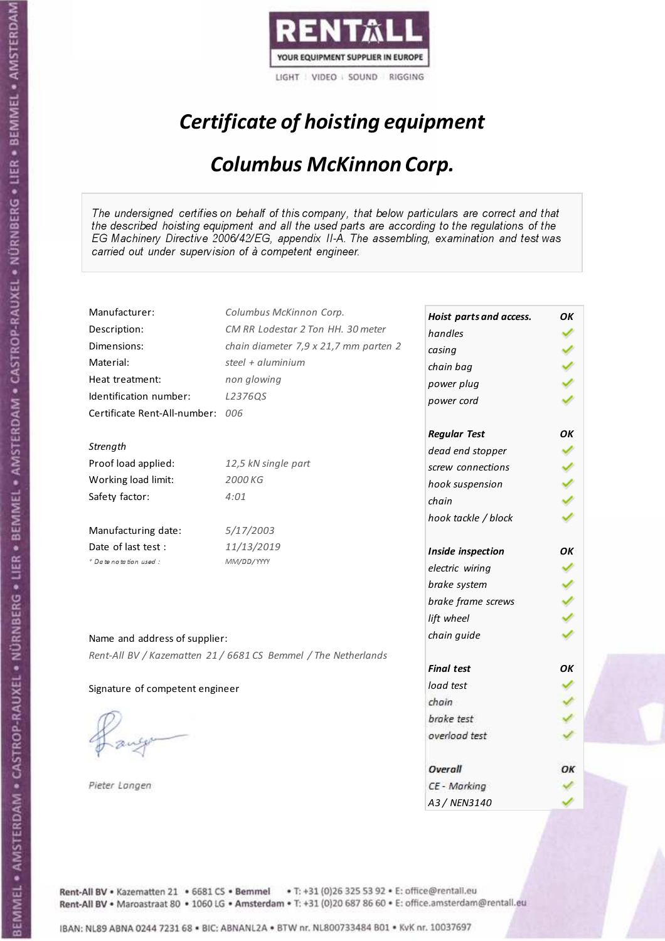

# Certificate of hoisting equipment

#### Columbus McKinnon Corp.

The undersigned certifies on behalf of this company, that below particulars are correct and that the described hoisting equipment and all the used parts are according to the regulations of the EG Machinery Directive 2006/42/EG, appendix II-A. The assembling, examination and test was carried out under supervision of à competent engineer.

| Manufacturer:                   | Columbus McKinnon Corp.                                        | Hoist parts and access. | OK |
|---------------------------------|----------------------------------------------------------------|-------------------------|----|
| Description:                    | CM RR Lodestar 2 Ton HH. 30 meter                              | handles                 |    |
| Dimensions:                     | chain diameter 7,9 x 21,7 mm parten 2                          | casing                  |    |
| Material:                       | steel + aluminium                                              | chain bag               |    |
| Heat treatment:                 | non glowing                                                    | power plug              |    |
| Identification number:          | L2376QS                                                        | power cord              |    |
| Certificate Rent-All-number:    | 006                                                            |                         |    |
|                                 |                                                                | <b>Regular Test</b>     | OK |
| Strength                        |                                                                | dead end stopper        |    |
| Proof load applied:             | 12,5 kN single part                                            | screw connections       |    |
| Working load limit:             | 2000 KG                                                        | hook suspension         |    |
| Safety factor:                  | 4:01                                                           | chain                   |    |
|                                 |                                                                | hook tackle / block     |    |
| Manufacturing date:             | 5/17/2003                                                      |                         |    |
| Date of last test:              | 11/13/2019                                                     | Inside inspection       | OК |
| + Date notation used:           | MM/DD/YYYY                                                     | electric wiring         |    |
|                                 |                                                                | brake system            |    |
|                                 |                                                                | brake frame screws      |    |
|                                 |                                                                | lift wheel              |    |
|                                 |                                                                | chain guide             |    |
| Name and address of supplier:   |                                                                |                         |    |
|                                 | Rent-All BV / Kazematten 21 / 6681 CS Bemmel / The Netherlands | <b>Final test</b>       | OK |
|                                 |                                                                | load test               |    |
| Signature of competent engineer |                                                                | chain                   |    |
|                                 |                                                                | brake test              |    |
|                                 |                                                                | overload test           |    |
|                                 |                                                                |                         |    |
|                                 |                                                                | Overall                 | ОΚ |
| Pieter Langen                   |                                                                | CE - Marking            |    |
|                                 |                                                                | A3 / NEN3140            |    |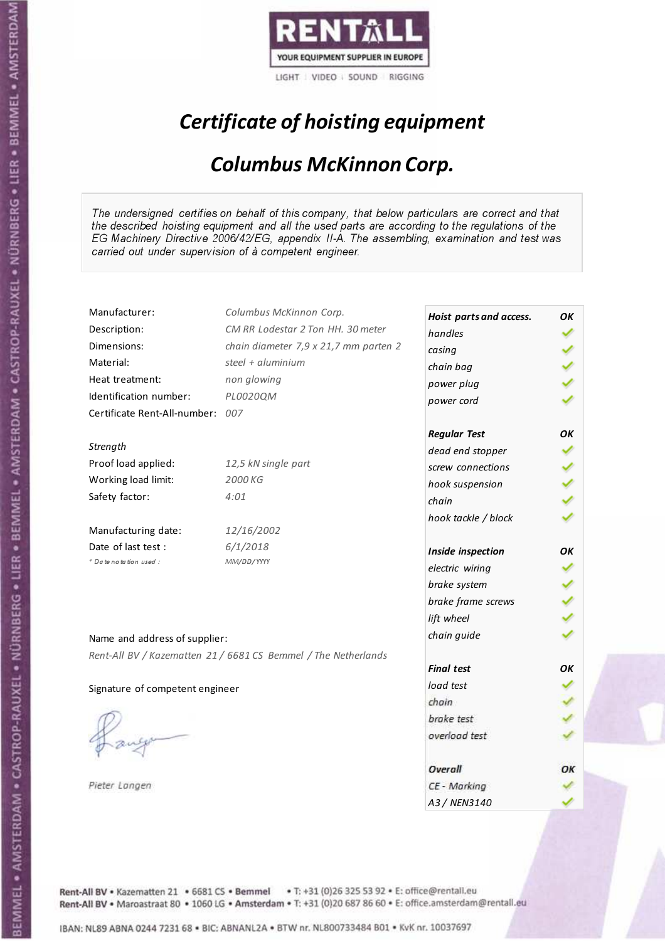

# Certificate of hoisting equipment

#### Columbus McKinnon Corp.

The undersigned certifies on behalf of this company, that below particulars are correct and that the described hoisting equipment and all the used parts are according to the regulations of the EG Machinery Directive 2006/42/EG, appendix II-A. The assembling, examination and test was carried out under supervision of à competent engineer.

| Manufacturer:                   | Columbus McKinnon Corp.                                        | Hoist parts and access. | ΟK  |
|---------------------------------|----------------------------------------------------------------|-------------------------|-----|
| Description:                    | CM RR Lodestar 2 Ton HH. 30 meter                              | handles                 |     |
| Dimensions:                     | chain diameter 7,9 x 21,7 mm parten 2                          | casing                  |     |
| Material:                       | steel + $aluminim$                                             | chain bag               |     |
| Heat treatment:                 | non glowing                                                    | power plug              |     |
| Identification number:          | PL0020QM                                                       | power cord              |     |
| Certificate Rent-All-number:    | 007                                                            |                         |     |
|                                 |                                                                | <b>Regular Test</b>     | OΚ  |
| Strength                        |                                                                | dead end stopper        |     |
| Proof load applied:             | 12,5 kN single part                                            | screw connections       |     |
| Working load limit:             | 2000 KG                                                        | hook suspension         |     |
| Safety factor:                  | 4:01                                                           | chain                   |     |
|                                 |                                                                | hook tackle / block     |     |
| Manufacturing date:             | 12/16/2002                                                     |                         |     |
| Date of last test :             | 6/1/2018                                                       | Inside inspection       | ΟK  |
| $+$ Date notation used :        | MM/DD/YYYY                                                     | electric wiring         |     |
|                                 |                                                                | brake system            |     |
|                                 |                                                                | brake frame screws      |     |
|                                 |                                                                | lift wheel              |     |
| Name and address of supplier:   |                                                                | chain guide             |     |
|                                 | Rent-All BV / Kazematten 21 / 6681 CS Bemmel / The Netherlands |                         |     |
|                                 |                                                                | <b>Final test</b>       | OΚ. |
| Signature of competent engineer |                                                                | load test               |     |
|                                 |                                                                | chain                   |     |
|                                 |                                                                | brake test              |     |
|                                 |                                                                | overload test           |     |
|                                 |                                                                |                         |     |
|                                 |                                                                | Overall                 | ОΚ  |
| Pieter Langen                   |                                                                | CE - Marking            |     |
|                                 |                                                                | A3 / NEN3140            |     |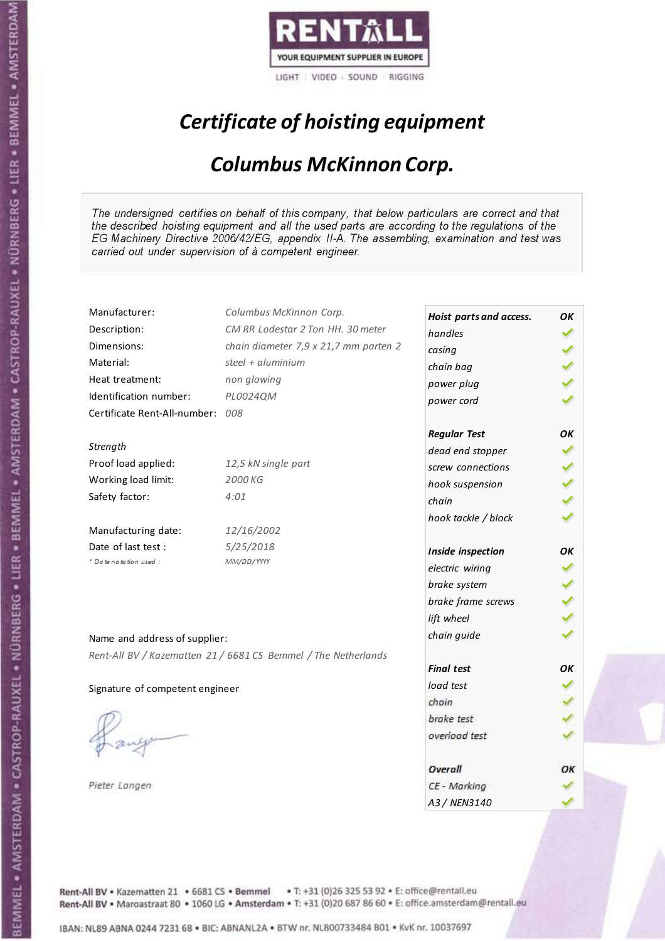

# Certificate of hoisting equipment

#### Columbus McKinnon Corp.

The undersigned certifies on behalf of this company, that below particulars are correct and that the described hoisting equipment and all the used parts are according to the regulations of the EG Machinery Directive 2006/42/EG, appendix II-A. The assembling, examination and test was carried out under supervision of à competent engineer.

| Manufacturer:                   | Columbus McKinnon Corp.                                        | Hoist parts and access. | OK |
|---------------------------------|----------------------------------------------------------------|-------------------------|----|
| Description:                    | CM RR Lodestar 2 Ton HH, 30 meter                              | handles                 |    |
| Dimensions:                     | chain diameter 7,9 x 21,7 mm parten 2                          | casing                  |    |
| Material:                       | steel + $aluminim$                                             | chain bag               |    |
| Heat treatment:                 | non glowing                                                    | power plug              |    |
| Identification number:          | PL0024QM                                                       | power cord              |    |
| Certificate Rent-All-number:    | 008                                                            |                         |    |
|                                 |                                                                | <b>Regular Test</b>     | ΟK |
| Strength                        |                                                                | dead end stopper        |    |
| Proof load applied:             | 12,5 kN single part                                            | screw connections       |    |
| Working load limit:             | 2000 KG                                                        | hook suspension         |    |
| Safety factor:                  | 4:01                                                           | chain                   |    |
|                                 |                                                                | hook tackle / block     |    |
| Manufacturing date:             | 12/16/2002                                                     |                         |    |
| Date of last test :             | 5/25/2018                                                      | Inside inspection       | ОΚ |
| + Date notation used:           | MM/DD/YYYY                                                     | electric wiring         |    |
|                                 |                                                                | brake system            |    |
|                                 |                                                                | brake frame screws      |    |
|                                 |                                                                | lift wheel              |    |
| Name and address of supplier:   |                                                                | chain guide             |    |
|                                 | Rent-All BV / Kazematten 21 / 6681 CS Bemmel / The Netherlands |                         |    |
|                                 |                                                                | <b>Final test</b>       | OK |
| Signature of competent engineer |                                                                | load test               |    |
|                                 |                                                                | chain                   |    |
|                                 |                                                                | brake test              |    |
|                                 |                                                                | overload test           |    |
|                                 |                                                                |                         |    |
|                                 |                                                                | Overall                 | ОΚ |
| Pieter Langen                   |                                                                | CE - Marking            |    |
|                                 |                                                                | A3 / NEN3140            |    |

Rent-All BV . Kazematten 21 . 6681 CS . Bemmel . T: +31 (0)26 325 53 92 . E: office@rentall.eu Rent-All BV · Maroastraat 80 · 1060 LG · Amsterdam · T: +31 (0)20 687 86 60 · E: office.amsterdam@rentall.eu

IBAN: NL89 ABNA 0244 7231 68 . BIC: ABNANL2A . BTW nr. NL800733484 B01 . KvK nr. 10037697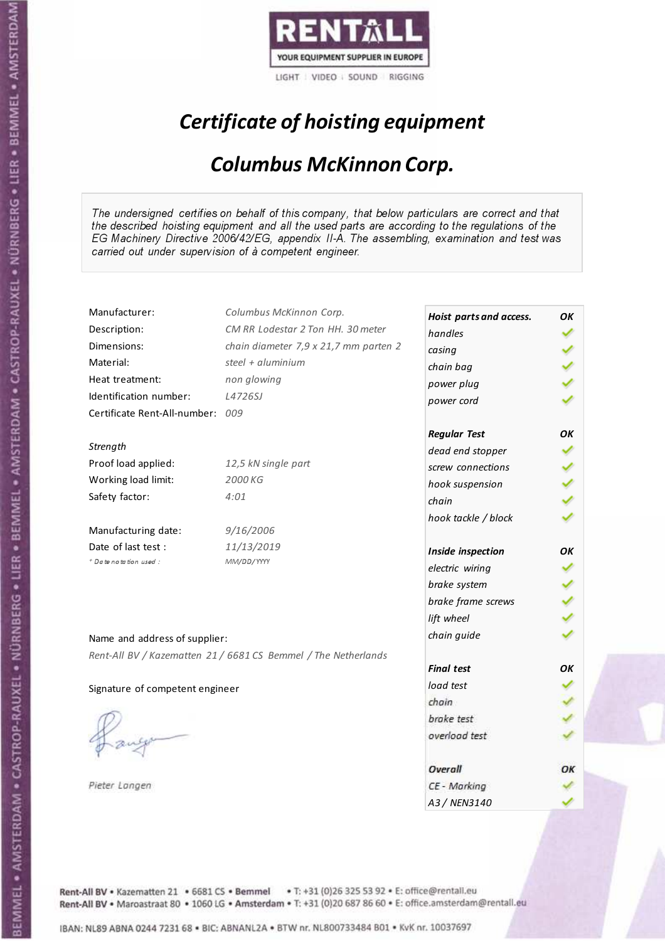

# Certificate of hoisting equipment

#### Columbus McKinnon Corp.

The undersigned certifies on behalf of this company, that below particulars are correct and that the described hoisting equipment and all the used parts are according to the regulations of the EG Machinery Directive 2006/42/EG, appendix II-A. The assembling, examination and test was carried out under supervision of à competent engineer.

| Manufacturer:                   | Columbus McKinnon Corp.                                        | Hoist parts and access.  | OK |
|---------------------------------|----------------------------------------------------------------|--------------------------|----|
| Description:                    | CM RR Lodestar 2 Ton HH. 30 meter                              | handles                  |    |
| Dimensions:                     | chain diameter 7,9 x 21,7 mm parten 2                          | casing                   |    |
| Material:                       | steel + aluminium                                              | chain bag                |    |
| Heat treatment:                 | non glowing                                                    | power plug               |    |
| Identification number:          | L4726SJ                                                        | power cord               |    |
| Certificate Rent-All-number:    | 009                                                            |                          |    |
|                                 |                                                                | <b>Regular Test</b>      | OK |
| Strength                        |                                                                | dead end stopper         |    |
| Proof load applied:             | 12,5 kN single part                                            | screw connections        |    |
| Working load limit:             | 2000 KG                                                        |                          |    |
| Safety factor:                  | 4:01                                                           | hook suspension<br>chain |    |
|                                 |                                                                |                          |    |
| Manufacturing date:             | 9/16/2006                                                      | hook tackle / block      |    |
| Date of last test :             | 11/13/2019                                                     |                          |    |
| + Date notation used:           | MM/DD/YYYY                                                     | Inside inspection        | OK |
|                                 |                                                                | electric wiring          |    |
|                                 |                                                                | brake system             |    |
|                                 |                                                                | brake frame screws       |    |
|                                 |                                                                | lift wheel               |    |
| Name and address of supplier:   |                                                                | chain guide              |    |
|                                 | Rent-All BV / Kazematten 21 / 6681 CS Bemmel / The Netherlands |                          |    |
|                                 |                                                                | <b>Final test</b>        | OK |
| Signature of competent engineer |                                                                | load test                |    |
|                                 |                                                                | chain                    |    |
|                                 |                                                                | brake test               |    |
|                                 |                                                                | overload test            |    |
|                                 |                                                                |                          |    |
|                                 |                                                                | Overall                  | ОΚ |
| Pieter Langen                   |                                                                | CE - Marking             |    |
|                                 |                                                                | A3 / NEN3140             |    |

Rent-All BV . Kazematten 21 . 6681 CS . Bemmel . T: +31 (0)26 325 53 92 . E: office@rentall.eu Rent-All BV · Maroastraat 80 · 1060 LG · Amsterdam · T: +31 (0)20 687 86 60 · E: office.amsterdam@rentall.eu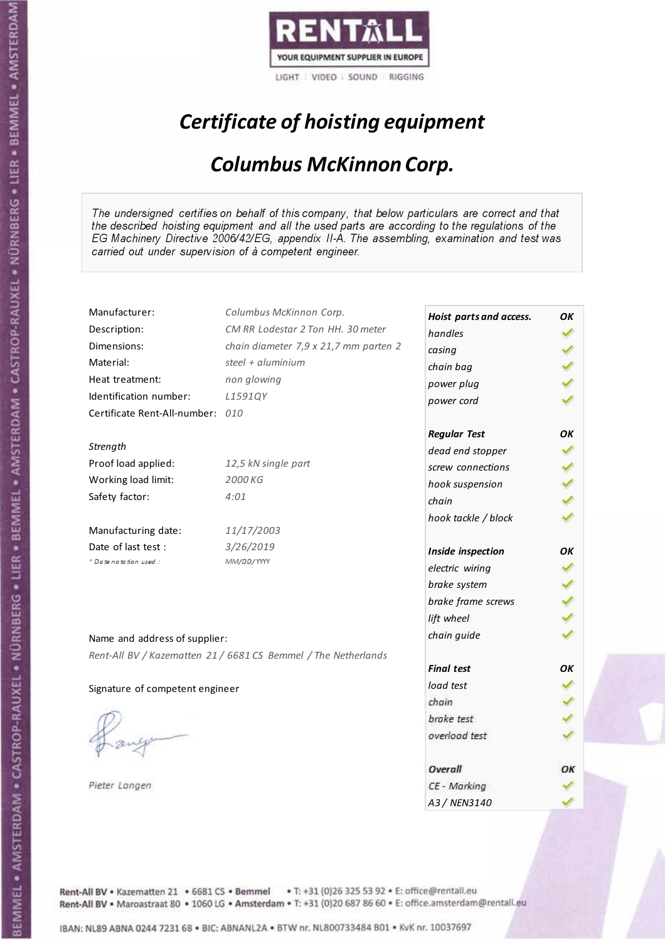

# Certificate of hoisting equipment

#### Columbus McKinnon Corp.

The undersigned certifies on behalf of this company, that below particulars are correct and that the described hoisting equipment and all the used parts are according to the regulations of the EG Machinery Directive 2006/42/EG, appendix II-A. The assembling, examination and test was carried out under supervision of à competent engineer.

| Manufacturer:                    | Columbus McKinnon Corp.                                        | Hoist parts and access. | OK |
|----------------------------------|----------------------------------------------------------------|-------------------------|----|
| Description:                     | CM RR Lodestar 2 Ton HH. 30 meter                              | handles                 |    |
| Dimensions:                      | chain diameter 7,9 x 21,7 mm parten 2                          | casing                  |    |
| Material:                        | steel + aluminium                                              | chain bag               |    |
| Heat treatment:                  | non glowing                                                    | power plug              |    |
| Identification number:           | L1591QY                                                        | power cord              |    |
| Certificate Rent-All-number: 010 |                                                                |                         |    |
|                                  |                                                                | <b>Regular Test</b>     | OK |
| Strength                         |                                                                | dead end stopper        |    |
| Proof load applied:              | 12,5 kN single part                                            | screw connections       |    |
| Working load limit:              | 2000 KG                                                        | hook suspension         |    |
| Safety factor:                   | 4:01                                                           | chain                   |    |
|                                  |                                                                | hook tackle / block     |    |
| Manufacturing date:              | 11/17/2003                                                     |                         |    |
| Date of last test :              | 3/26/2019                                                      | Inside inspection       | ΟK |
| * Date notation used :           | MM/DD/YYYY                                                     | electric wiring         |    |
|                                  |                                                                | brake system            |    |
|                                  |                                                                | brake frame screws      |    |
|                                  |                                                                | lift wheel              |    |
| Name and address of supplier:    |                                                                | chain guide             |    |
|                                  |                                                                |                         |    |
|                                  | Rent-All BV / Kazematten 21 / 6681 CS Bemmel / The Netherlands | <b>Final test</b>       | OK |
|                                  |                                                                | load test               |    |
| Signature of competent engineer  |                                                                | chain                   |    |
|                                  |                                                                | brake test              |    |
|                                  |                                                                | overload test           |    |
|                                  |                                                                |                         |    |
|                                  |                                                                | Overall                 | ОΚ |
| Pieter Langen                    |                                                                | CE - Marking            |    |
|                                  |                                                                | A3 / NEN3140            |    |

Rent-All BV . Kazematten 21 . 6681 CS . Bemmel . T: +31 (0)26 325 53 92 . E: office@rentall.eu Rent-All BV · Maroastraat 80 · 1060 LG · Amsterdam · T: +31 (0)20 687 86 60 · E: office.amsterdam@rentall.eu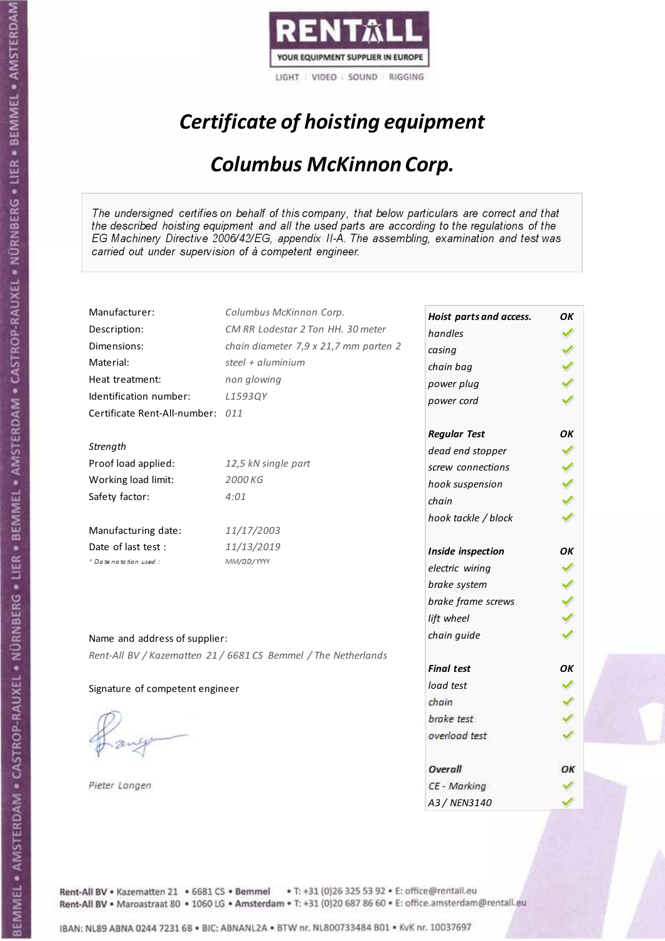

# Certificate of hoisting equipment

#### Columbus McKinnon Corp.

The undersigned certifies on behalf of this company, that below particulars are correct and that the described hoisting equipment and all the used parts are according to the regulations of the EG Machinery Directive 2006/42/EG, appendix II-A. The assembling, examination and test was carried out under supervision of à competent engineer.

| Manufacturer:                    | Columbus McKinnon Corp.                                        | Hoist parts and access. | OK |
|----------------------------------|----------------------------------------------------------------|-------------------------|----|
| Description:                     | CM RR Lodestar 2 Ton HH. 30 meter                              | handles                 |    |
| Dimensions:                      | chain diameter 7,9 x 21,7 mm parten 2                          | casing                  |    |
| Material:                        | steel + $aluminim$                                             | chain bag               |    |
| Heat treatment:                  | non glowing                                                    | power plug              |    |
| Identification number:           | L1593QY                                                        | power cord              |    |
| Certificate Rent-All-number: 011 |                                                                |                         |    |
|                                  |                                                                | <b>Regular Test</b>     | ΟK |
| Strength                         |                                                                | dead end stopper        |    |
| Proof load applied:              | 12,5 kN single part                                            | screw connections       |    |
| Working load limit:              | 2000 KG                                                        | hook suspension         |    |
| Safety factor:                   | 4:01                                                           | chain                   |    |
|                                  |                                                                | hook tackle / block     |    |
| Manufacturing date:              | 11/17/2003                                                     |                         |    |
| Date of last test :              | 11/13/2019                                                     | Inside inspection       | OΚ |
| + Date notation used:            | MM/DD/YYYY                                                     | electric wiring         |    |
|                                  |                                                                | brake system            |    |
|                                  |                                                                | brake frame screws      |    |
|                                  |                                                                | lift wheel              |    |
| Name and address of supplier:    |                                                                | chain guide             |    |
|                                  |                                                                |                         |    |
|                                  | Rent-All BV / Kazematten 21 / 6681 CS Bemmel / The Netherlands | <b>Final test</b>       | OK |
| Signature of competent engineer  |                                                                | load test               |    |
|                                  |                                                                | chain                   |    |
|                                  |                                                                | brake test              |    |
|                                  |                                                                | overload test           |    |
|                                  |                                                                |                         |    |
|                                  |                                                                | Overall                 | ОΚ |
| Pieter Langen                    |                                                                | CE - Marking            |    |
|                                  |                                                                | A3 / NEN3140            |    |

Rent-All BV . Kazematten 21 . 6681 CS . Bemmel . T: +31 (0)26 325 53 92 . E: office@rentall.eu Rent-All BV · Maroastraat 80 · 1060 LG · Amsterdam · T: +31 (0)20 687 86 60 · E: office.amsterdam@rentall.eu

IBAN: NL89 ABNA 0244 7231 68 . BIC: ABNANL2A . BTW nr. NL800733484 B01 . KvK nr. 10037697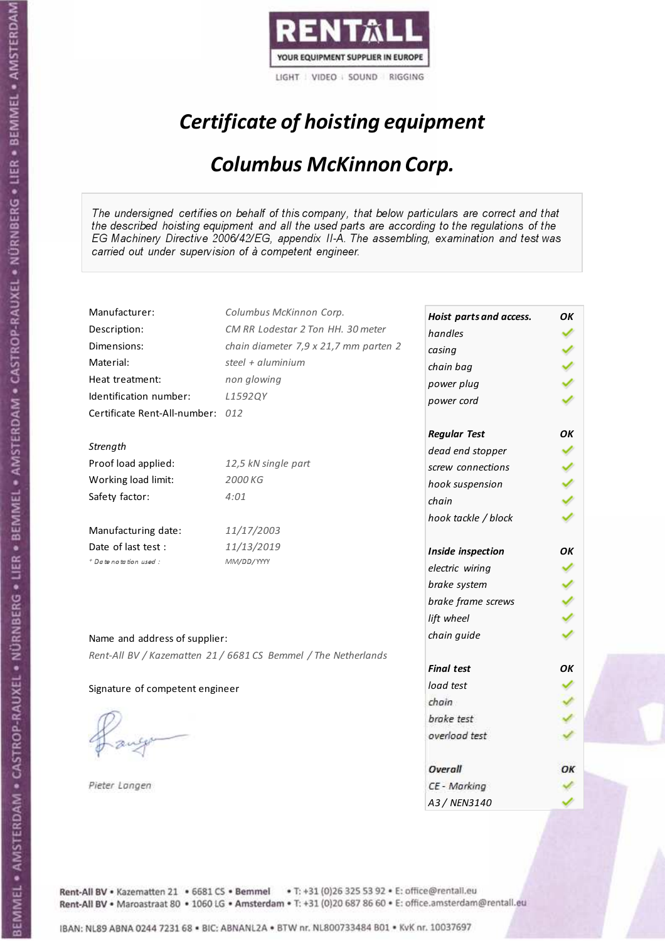

# Certificate of hoisting equipment

#### Columbus McKinnon Corp.

The undersigned certifies on behalf of this company, that below particulars are correct and that the described hoisting equipment and all the used parts are according to the regulations of the EG Machinery Directive 2006/42/EG, appendix II-A. The assembling, examination and test was carried out under supervision of à competent engineer.

| Manufacturer:                    | Columbus McKinnon Corp.                                        | Hoist parts and access. | OK |
|----------------------------------|----------------------------------------------------------------|-------------------------|----|
| Description:                     | CM RR Lodestar 2 Ton HH. 30 meter                              | handles                 |    |
| Dimensions:                      | chain diameter 7,9 x 21,7 mm parten 2                          | casing                  |    |
| Material:                        | steel + $aluminim$                                             | chain bag               |    |
| Heat treatment:                  | non glowing                                                    | power plug              |    |
| Identification number:           | L1592QY                                                        | power cord              |    |
| Certificate Rent-All-number: 012 |                                                                |                         |    |
|                                  |                                                                | <b>Regular Test</b>     | ΟK |
| Strength                         |                                                                | dead end stopper        |    |
| Proof load applied:              | 12,5 kN single part                                            | screw connections       |    |
| Working load limit:              | 2000 KG                                                        | hook suspension         |    |
| Safety factor:                   | 4:01                                                           | chain                   |    |
|                                  |                                                                | hook tackle / block     |    |
| Manufacturing date:              | 11/17/2003                                                     |                         |    |
| Date of last test :              | 11/13/2019                                                     | Inside inspection       | OΚ |
| + Date notation used:            | MM/DD/YYYY                                                     | electric wiring         |    |
|                                  |                                                                | brake system            |    |
|                                  |                                                                | brake frame screws      |    |
|                                  |                                                                | lift wheel              |    |
| Name and address of supplier:    |                                                                | chain guide             |    |
|                                  |                                                                |                         |    |
|                                  | Rent-All BV / Kazematten 21 / 6681 CS Bemmel / The Netherlands | <b>Final test</b>       | OK |
| Signature of competent engineer  |                                                                | load test               |    |
|                                  |                                                                | chain                   |    |
|                                  |                                                                | brake test              |    |
|                                  |                                                                | overload test           |    |
|                                  |                                                                |                         |    |
|                                  |                                                                | Overall                 | ОΚ |
| Pieter Langen                    |                                                                | CE - Marking            |    |
|                                  |                                                                | A3 / NEN3140            |    |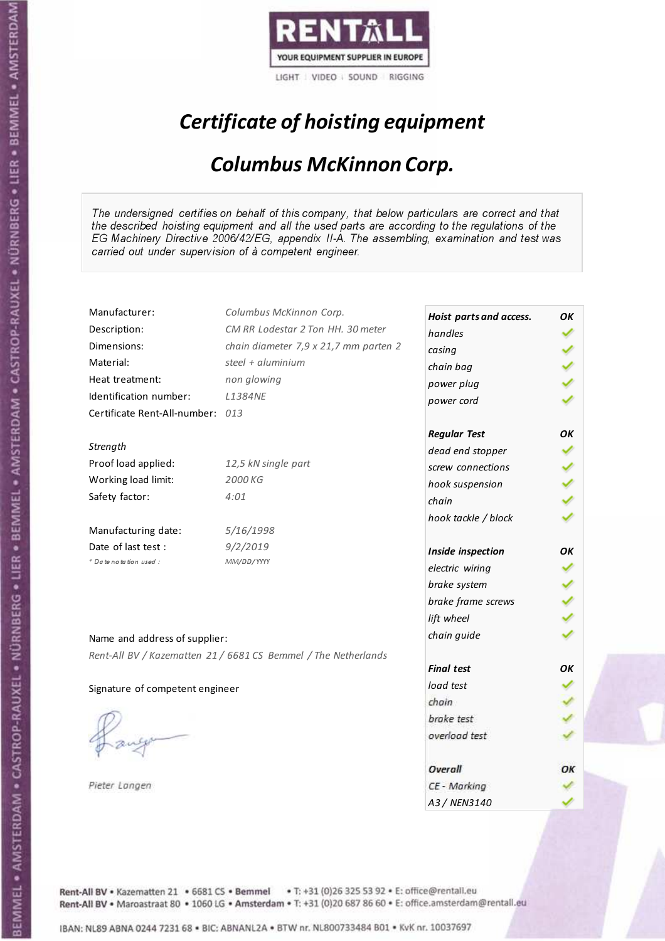

# Certificate of hoisting equipment

#### Columbus McKinnon Corp.

The undersigned certifies on behalf of this company, that below particulars are correct and that the described hoisting equipment and all the used parts are according to the regulations of the EG Machinery Directive 2006/42/EG, appendix II-A. The assembling, examination and test was carried out under supervision of à competent engineer.

| Manufacturer:                    | Columbus McKinnon Corp.                                        |                         |    |
|----------------------------------|----------------------------------------------------------------|-------------------------|----|
| Description:                     | CM RR Lodestar 2 Ton HH. 30 meter                              | Hoist parts and access. | OK |
| Dimensions:                      | chain diameter 7,9 x 21,7 mm parten 2                          | handles                 |    |
| Material:                        | steel + aluminium                                              | casing                  |    |
|                                  |                                                                | chain bag               |    |
| Heat treatment:                  | non glowing                                                    | power plug              |    |
| Identification number:           | <b>L1384NE</b>                                                 | power cord              |    |
| Certificate Rent-All-number: 013 |                                                                |                         |    |
|                                  |                                                                | <b>Regular Test</b>     | OK |
| Strength                         |                                                                | dead end stopper        |    |
| Proof load applied:              | 12,5 kN single part                                            | screw connections       |    |
| Working load limit:              | 2000 KG                                                        | hook suspension         |    |
| Safety factor:                   | 4:01                                                           | chain                   |    |
|                                  |                                                                | hook tackle / block     |    |
| Manufacturing date:              | 5/16/1998                                                      |                         |    |
| Date of last test :              | 9/2/2019                                                       | Inside inspection       | ΟK |
| + Date notation used:            | MM/DD/YYYY                                                     | electric wiring         |    |
|                                  |                                                                | brake system            |    |
|                                  |                                                                | brake frame screws      |    |
|                                  |                                                                | lift wheel              |    |
|                                  |                                                                |                         |    |
| Name and address of supplier:    |                                                                | chain guide             |    |
|                                  | Rent-All BV / Kazematten 21 / 6681 CS Bemmel / The Netherlands |                         |    |
|                                  |                                                                | <b>Final test</b>       | OK |
| Signature of competent engineer  |                                                                | load test               |    |
|                                  |                                                                | chain                   |    |
|                                  |                                                                | brake test              |    |
|                                  |                                                                | overload test           |    |
|                                  |                                                                |                         |    |
|                                  |                                                                | Overall                 | ОΚ |
| Pieter Langen                    |                                                                | CE - Marking            |    |
|                                  |                                                                | A3 / NEN3140            |    |

Rent-All BV . Kazematten 21 . 6681 CS . Bemmel . T: +31 (0)26 325 53 92 . E: office@rentall.eu Rent-All BV · Maroastraat 80 · 1060 LG · Amsterdam · T: +31 (0)20 687 86 60 · E: office.amsterdam@rentall.eu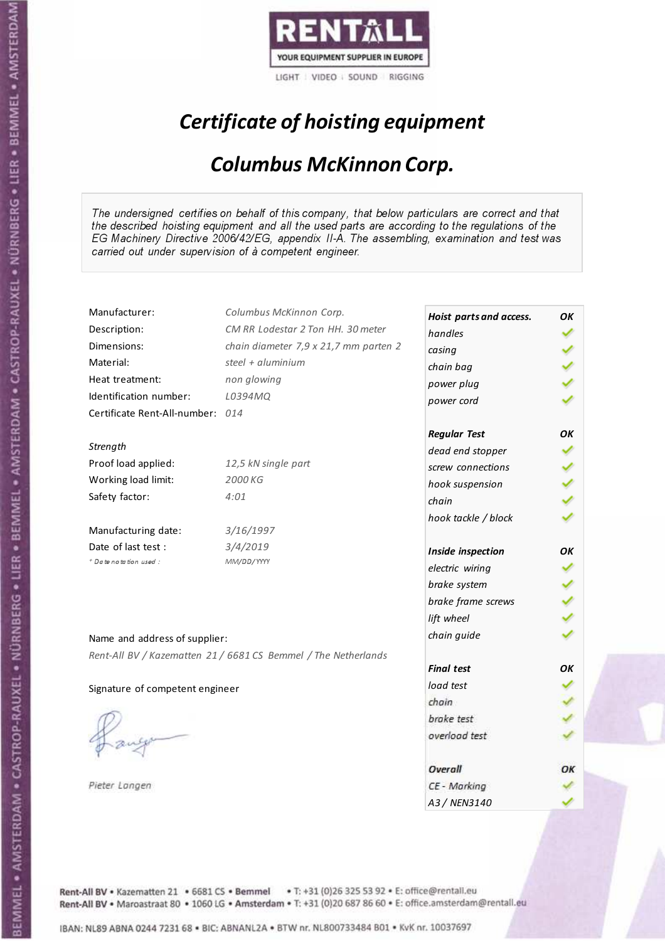

# Certificate of hoisting equipment

#### Columbus McKinnon Corp.

The undersigned certifies on behalf of this company, that below particulars are correct and that the described hoisting equipment and all the used parts are according to the regulations of the EG Machinery Directive 2006/42/EG, appendix II-A. The assembling, examination and test was carried out under supervision of à competent engineer.

| Manufacturer:                    | Columbus McKinnon Corp.                                        |                         |    |
|----------------------------------|----------------------------------------------------------------|-------------------------|----|
|                                  | CM RR Lodestar 2 Ton HH. 30 meter                              | Hoist parts and access. | OK |
| Description:                     |                                                                | handles                 |    |
| Dimensions:                      | chain diameter 7,9 x 21,7 mm parten 2                          | casing                  |    |
| Material:                        | steel + aluminium                                              | chain bag               |    |
| Heat treatment:                  | non glowing                                                    | power plug              |    |
| Identification number:           | L0394MQ                                                        | power cord              |    |
| Certificate Rent-All-number: 014 |                                                                |                         |    |
|                                  |                                                                | <b>Regular Test</b>     | OK |
| Strength                         |                                                                | dead end stopper        |    |
| Proof load applied:              | 12,5 kN single part                                            | screw connections       |    |
| Working load limit:              | 2000 KG                                                        | hook suspension         |    |
| Safety factor:                   | 4:01                                                           | chain                   |    |
|                                  |                                                                | hook tackle / block     |    |
| Manufacturing date:              | 3/16/1997                                                      |                         |    |
| Date of last test :              | 3/4/2019                                                       | Inside inspection       | ΟK |
| + Date notation used:            | MM/DD/YYYY                                                     | electric wiring         |    |
|                                  |                                                                | brake system            |    |
|                                  |                                                                | brake frame screws      |    |
|                                  |                                                                | lift wheel              |    |
| Name and address of supplier:    |                                                                | chain guide             |    |
|                                  | Rent-All BV / Kazematten 21 / 6681 CS Bemmel / The Netherlands |                         |    |
|                                  |                                                                | <b>Final test</b>       | OK |
| Signature of competent engineer  |                                                                | load test               |    |
|                                  |                                                                | chain                   |    |
|                                  |                                                                | brake test              |    |
|                                  |                                                                | overload test           |    |
|                                  |                                                                |                         |    |
|                                  |                                                                | Overall                 | ОΚ |
| Pieter Langen                    |                                                                | CE - Marking            |    |
|                                  |                                                                | A3 / NEN3140            |    |

Rent-All BV . Kazematten 21 . 6681 CS . Bemmel . T: +31 (0)26 325 53 92 . E: office@rentall.eu Rent-All BV · Maroastraat 80 · 1060 LG · Amsterdam · T: +31 (0)20 687 86 60 · E: office.amsterdam@rentall.eu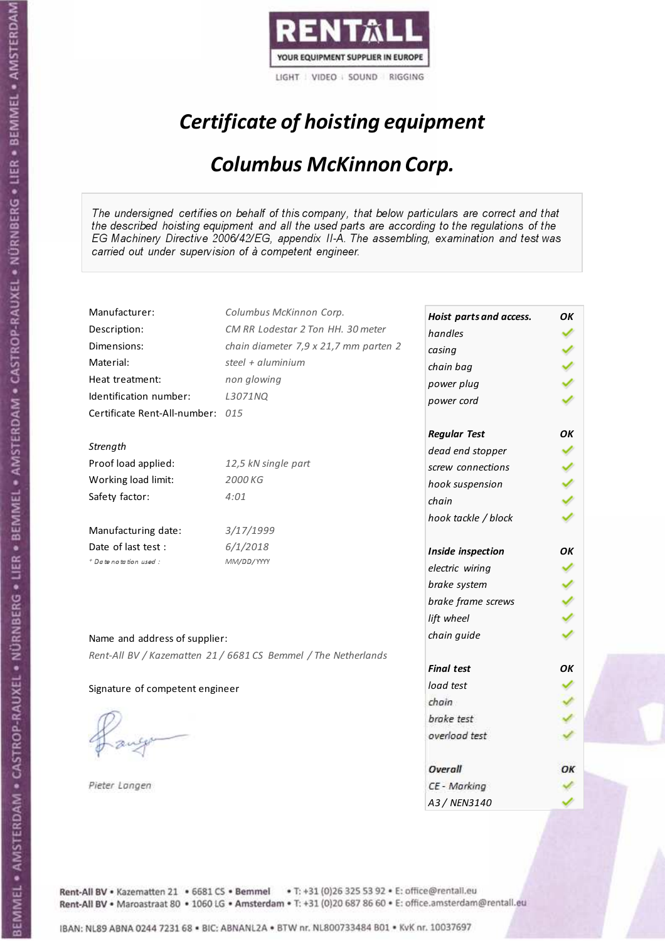

# Certificate of hoisting equipment

#### Columbus McKinnon Corp.

The undersigned certifies on behalf of this company, that below particulars are correct and that the described hoisting equipment and all the used parts are according to the regulations of the EG Machinery Directive 2006/42/EG, appendix II-A. The assembling, examination and test was carried out under supervision of à competent engineer.

| Manufacturer:                    | Columbus McKinnon Corp.                                        | Hoist parts and access. | OK |
|----------------------------------|----------------------------------------------------------------|-------------------------|----|
| Description:                     | CM RR Lodestar 2 Ton HH. 30 meter                              | handles                 |    |
| Dimensions:                      | chain diameter 7,9 x 21,7 mm parten 2                          | casing                  |    |
| Material:                        | steel + aluminium                                              | chain bag               |    |
| Heat treatment:                  | non glowing                                                    | power plug              |    |
| Identification number:           | L3071NQ                                                        | power cord              |    |
| Certificate Rent-All-number: 015 |                                                                |                         |    |
|                                  |                                                                | <b>Regular Test</b>     | OK |
| Strength                         |                                                                | dead end stopper        |    |
| Proof load applied:              | 12,5 kN single part                                            | screw connections       |    |
| Working load limit:              | 2000 KG                                                        | hook suspension         |    |
| Safety factor:                   | 4:01                                                           | chain                   |    |
|                                  |                                                                | hook tackle / block     |    |
| Manufacturing date:              | 3/17/1999                                                      |                         |    |
| Date of last test :              | 6/1/2018                                                       | Inside inspection       | ΟK |
| * Date notation used :           | MM/DD/YYYY                                                     | electric wiring         |    |
|                                  |                                                                | brake system            |    |
|                                  |                                                                | brake frame screws      |    |
|                                  |                                                                | lift wheel              |    |
| Name and address of supplier:    |                                                                | chain guide             |    |
|                                  |                                                                |                         |    |
|                                  | Rent-All BV / Kazematten 21 / 6681 CS Bemmel / The Netherlands | <b>Final test</b>       | OK |
|                                  |                                                                | load test               |    |
| Signature of competent engineer  |                                                                | chain                   |    |
|                                  |                                                                | brake test              |    |
|                                  |                                                                | overload test           |    |
|                                  |                                                                |                         |    |
|                                  |                                                                | Overall                 | ОΚ |
| Pieter Langen                    |                                                                | CE - Marking            |    |
|                                  |                                                                | A3 / NEN3140            |    |

Rent-All BV . Kazematten 21 . 6681 CS . Bemmel . T: +31 (0)26 325 53 92 . E: office@rentall.eu Rent-All BV · Maroastraat 80 · 1060 LG · Amsterdam · T: +31 (0)20 687 86 60 · E: office.amsterdam@rentall.eu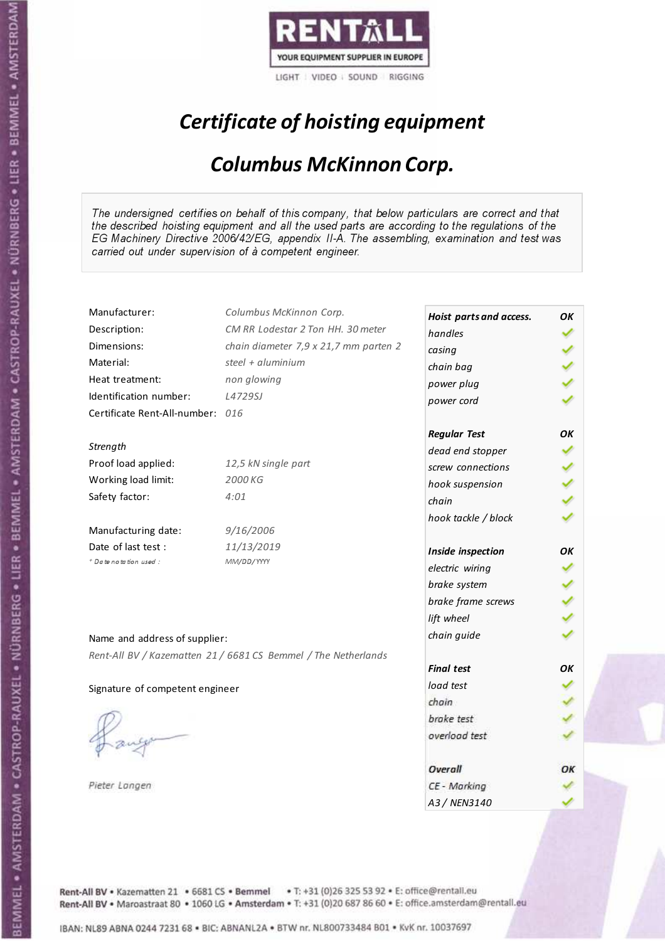

# Certificate of hoisting equipment

#### Columbus McKinnon Corp.

The undersigned certifies on behalf of this company, that below particulars are correct and that the described hoisting equipment and all the used parts are according to the regulations of the EG Machinery Directive 2006/42/EG, appendix II-A. The assembling, examination and test was carried out under supervision of à competent engineer.

| Manufacturer:                    | Columbus McKinnon Corp.                                        | Hoist parts and access. | OK |
|----------------------------------|----------------------------------------------------------------|-------------------------|----|
| Description:                     | CM RR Lodestar 2 Ton HH. 30 meter                              | handles                 |    |
| Dimensions:                      | chain diameter 7,9 x 21,7 mm parten 2                          | casing                  |    |
| Material:                        | steel + aluminium                                              | chain bag               |    |
| Heat treatment:                  | non glowing                                                    | power plug              |    |
| Identification number:           | L4729SJ                                                        | power cord              |    |
| Certificate Rent-All-number: 016 |                                                                |                         |    |
|                                  |                                                                | <b>Regular Test</b>     | OK |
| Strength                         |                                                                | dead end stopper        |    |
| Proof load applied:              | 12,5 kN single part                                            | screw connections       |    |
| Working load limit:              | 2000 KG                                                        | hook suspension         |    |
| Safety factor:                   | 4:01                                                           | chain                   |    |
|                                  |                                                                | hook tackle / block     |    |
| Manufacturing date:              | 9/16/2006                                                      |                         |    |
| Date of last test:               | 11/13/2019                                                     | Inside inspection       | OК |
| + Date notation used:            | MM/DD/YYYY                                                     | electric wiring         |    |
|                                  |                                                                | brake system            |    |
|                                  |                                                                | brake frame screws      |    |
|                                  |                                                                | lift wheel              |    |
|                                  |                                                                | chain guide             |    |
| Name and address of supplier:    |                                                                |                         |    |
|                                  | Rent-All BV / Kazematten 21 / 6681 CS Bemmel / The Netherlands | <b>Final test</b>       | OK |
|                                  |                                                                | load test               |    |
| Signature of competent engineer  |                                                                | chain                   |    |
|                                  |                                                                | brake test              |    |
|                                  |                                                                | overload test           |    |
|                                  |                                                                |                         |    |
|                                  |                                                                | Overall                 | ОΚ |
| Pieter Langen                    |                                                                | CE - Marking            |    |
|                                  |                                                                | A3 / NEN3140            |    |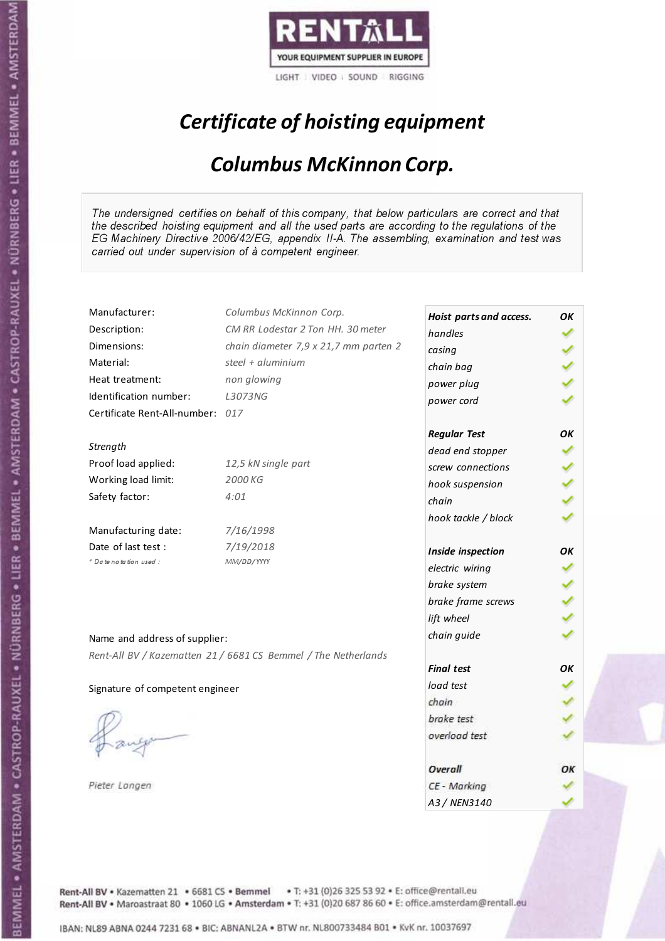

# Certificate of hoisting equipment

#### Columbus McKinnon Corp.

The undersigned certifies on behalf of this company, that below particulars are correct and that the described hoisting equipment and all the used parts are according to the regulations of the EG Machinery Directive 2006/42/EG, appendix II-A. The assembling, examination and test was carried out under supervision of à competent engineer.

| Manufacturer:                    | Columbus McKinnon Corp.                                        |                         |    |
|----------------------------------|----------------------------------------------------------------|-------------------------|----|
| Description:                     | CM RR Lodestar 2 Ton HH. 30 meter                              | Hoist parts and access. | OK |
| Dimensions:                      | chain diameter 7,9 x 21,7 mm parten 2                          | handles                 |    |
| Material:                        | steel + aluminium                                              | casing                  |    |
|                                  |                                                                | chain bag               |    |
| Heat treatment:                  | non glowing                                                    | power plug              |    |
| Identification number:           | L3073NG                                                        | power cord              |    |
| Certificate Rent-All-number: 017 |                                                                |                         |    |
|                                  |                                                                | <b>Regular Test</b>     | OK |
| Strength                         |                                                                | dead end stopper        |    |
| Proof load applied:              | 12,5 kN single part                                            | screw connections       |    |
| Working load limit:              | 2000 KG                                                        | hook suspension         |    |
| Safety factor:                   | 4:01                                                           | chain                   |    |
|                                  |                                                                | hook tackle / block     |    |
| Manufacturing date:              | 7/16/1998                                                      |                         |    |
| Date of last test :              | 7/19/2018                                                      | Inside inspection       | ΟK |
| + Date notation used:            | MM/DD/YYYY                                                     | electric wiring         |    |
|                                  |                                                                | brake system            |    |
|                                  |                                                                | brake frame screws      |    |
|                                  |                                                                | lift wheel              |    |
|                                  |                                                                |                         |    |
| Name and address of supplier:    |                                                                | chain guide             |    |
|                                  | Rent-All BV / Kazematten 21 / 6681 CS Bemmel / The Netherlands |                         |    |
|                                  |                                                                | <b>Final test</b>       | OK |
| Signature of competent engineer  |                                                                | load test               |    |
|                                  |                                                                | chain                   |    |
|                                  |                                                                | brake test              |    |
|                                  |                                                                | overload test           |    |
|                                  |                                                                |                         |    |
|                                  |                                                                | Overall                 | ОΚ |
| Pieter Langen                    |                                                                | CE - Marking            |    |
|                                  |                                                                | A3 / NEN3140            |    |

Rent-All BV . Kazematten 21 . 6681 CS . Bemmel . T: +31 (0)26 325 53 92 . E: office@rentall.eu Rent-All BV · Maroastraat 80 · 1060 LG · Amsterdam · T: +31 (0)20 687 86 60 · E: office.amsterdam@rentall.eu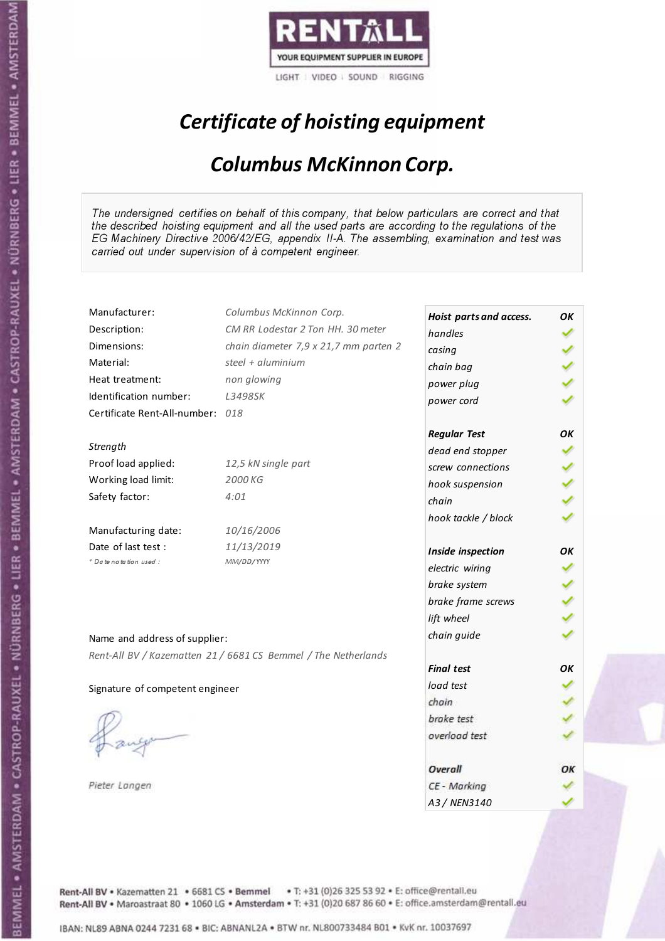

# Certificate of hoisting equipment

#### Columbus McKinnon Corp.

The undersigned certifies on behalf of this company, that below particulars are correct and that the described hoisting equipment and all the used parts are according to the regulations of the EG Machinery Directive 2006/42/EG, appendix II-A. The assembling, examination and test was carried out under supervision of à competent engineer.

| Manufacturer:                    | Columbus McKinnon Corp.                                        | Hoist parts and access. | OK |
|----------------------------------|----------------------------------------------------------------|-------------------------|----|
| Description:                     | CM RR Lodestar 2 Ton HH. 30 meter                              | handles                 |    |
| Dimensions:                      | chain diameter 7,9 x 21,7 mm parten 2                          | casing                  |    |
| Material:                        | steel + aluminium                                              | chain bag               |    |
| Heat treatment:                  | non glowing                                                    | power plug              |    |
| Identification number:           | L3498SK                                                        | power cord              |    |
| Certificate Rent-All-number: 018 |                                                                |                         |    |
|                                  |                                                                | <b>Regular Test</b>     | OK |
| Strength                         |                                                                | dead end stopper        |    |
| Proof load applied:              | 12,5 kN single part                                            | screw connections       |    |
| Working load limit:              | 2000 KG                                                        | hook suspension         |    |
| Safety factor:                   | 4:01                                                           | chain                   |    |
|                                  |                                                                | hook tackle / block     |    |
| Manufacturing date:              | 10/16/2006                                                     |                         |    |
| Date of last test :              | 11/13/2019                                                     | Inside inspection       | ОΚ |
| * Date notation used :           | MM/DD/YYYY                                                     | electric wiring         |    |
|                                  |                                                                | brake system            |    |
|                                  |                                                                | brake frame screws      |    |
|                                  |                                                                | lift wheel              |    |
|                                  |                                                                | chain guide             |    |
| Name and address of supplier:    |                                                                |                         |    |
|                                  | Rent-All BV / Kazematten 21 / 6681 CS Bemmel / The Netherlands | <b>Final test</b>       | OK |
|                                  |                                                                | load test               |    |
| Signature of competent engineer  |                                                                | chain                   |    |
|                                  |                                                                | brake test              |    |
|                                  |                                                                | overload test           |    |
|                                  |                                                                |                         |    |
|                                  |                                                                | Overall                 | ОΚ |
| Pieter Langen                    |                                                                | CE - Marking            |    |
|                                  |                                                                | A3 / NEN3140            |    |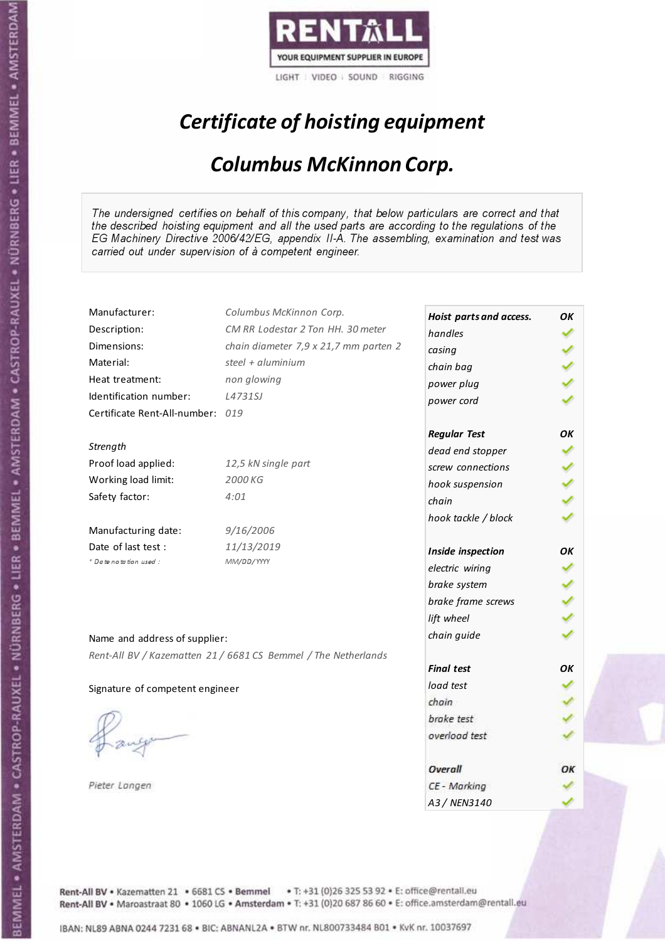

# Certificate of hoisting equipment

#### Columbus McKinnon Corp.

The undersigned certifies on behalf of this company, that below particulars are correct and that the described hoisting equipment and all the used parts are according to the regulations of the EG Machinery Directive 2006/42/EG, appendix II-A. The assembling, examination and test was carried out under supervision of à competent engineer.

| Manufacturer:                    | Columbus McKinnon Corp.                                        | Hoist parts and access. | OK |
|----------------------------------|----------------------------------------------------------------|-------------------------|----|
| Description:                     | CM RR Lodestar 2 Ton HH. 30 meter                              | handles                 |    |
| Dimensions:                      | chain diameter 7,9 x 21,7 mm parten 2                          | casing                  |    |
| Material:                        | steel + aluminium                                              | chain bag               |    |
| Heat treatment:                  | non glowing                                                    | power plug              |    |
| Identification number:           | L4731SJ                                                        | power cord              |    |
| Certificate Rent-All-number: 019 |                                                                |                         |    |
|                                  |                                                                | <b>Regular Test</b>     | OK |
| Strength                         |                                                                | dead end stopper        |    |
| Proof load applied:              | 12,5 kN single part                                            | screw connections       |    |
| Working load limit:              | 2000 KG                                                        | hook suspension         |    |
| Safety factor:                   | 4:01                                                           | chain                   |    |
|                                  |                                                                | hook tackle / block     |    |
| Manufacturing date:              | 9/16/2006                                                      |                         |    |
| Date of last test:               | 11/13/2019                                                     | Inside inspection       | ΟK |
| * Date notation used :           | MM/DD/YYYY                                                     | electric wiring         |    |
|                                  |                                                                | brake system            |    |
|                                  |                                                                | brake frame screws      |    |
|                                  |                                                                | lift wheel              |    |
|                                  |                                                                | chain guide             |    |
| Name and address of supplier:    |                                                                |                         |    |
|                                  | Rent-All BV / Kazematten 21 / 6681 CS Bemmel / The Netherlands | <b>Final test</b>       | OK |
|                                  |                                                                |                         |    |
| Signature of competent engineer  |                                                                | load test               |    |
|                                  |                                                                | chain                   |    |
|                                  |                                                                | brake test              |    |
|                                  |                                                                | overload test           |    |
|                                  |                                                                |                         |    |
|                                  |                                                                | Overall                 |    |
| Pieter Langen                    |                                                                | CE - Marking            |    |
|                                  |                                                                | A3 / NEN3140            |    |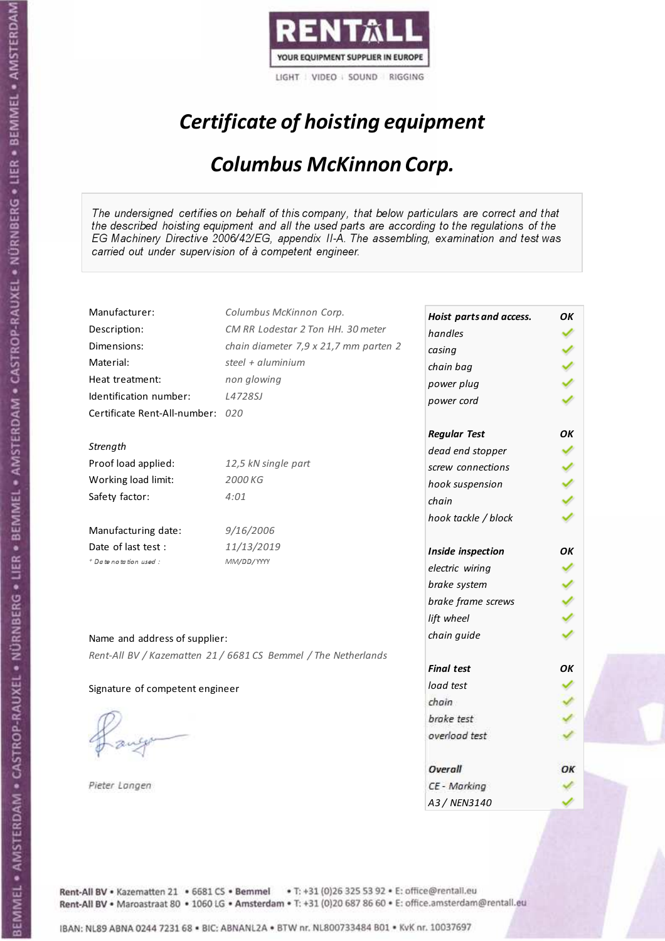

# Certificate of hoisting equipment

#### Columbus McKinnon Corp.

The undersigned certifies on behalf of this company, that below particulars are correct and that the described hoisting equipment and all the used parts are according to the regulations of the EG Machinery Directive 2006/42/EG, appendix II-A. The assembling, examination and test was carried out under supervision of à competent engineer.

| Manufacturer:                    | Columbus McKinnon Corp.                                        | Hoist parts and access. | OK |
|----------------------------------|----------------------------------------------------------------|-------------------------|----|
| Description:                     | CM RR Lodestar 2 Ton HH. 30 meter                              | handles                 |    |
| Dimensions:                      | chain diameter 7,9 x 21,7 mm parten 2                          | casing                  |    |
| Material:                        | steel + aluminium                                              | chain bag               |    |
| Heat treatment:                  | non glowing                                                    | power plug              |    |
| Identification number:           | L4728SJ                                                        | power cord              |    |
| Certificate Rent-All-number: 020 |                                                                |                         |    |
|                                  |                                                                | <b>Regular Test</b>     | OK |
| Strength                         |                                                                | dead end stopper        |    |
| Proof load applied:              | 12,5 kN single part                                            | screw connections       |    |
| Working load limit:              | 2000 KG                                                        | hook suspension         |    |
| Safety factor:                   | 4:01                                                           | chain                   |    |
|                                  |                                                                | hook tackle / block     |    |
| Manufacturing date:              | 9/16/2006                                                      |                         |    |
| Date of last test:               | 11/13/2019                                                     | Inside inspection       | ΟK |
| * Date notation used :           | MM/DD/YYYY                                                     | electric wiring         |    |
|                                  |                                                                | brake system            |    |
|                                  |                                                                | brake frame screws      |    |
|                                  |                                                                | lift wheel              |    |
| Name and address of supplier:    |                                                                | chain guide             |    |
|                                  | Rent-All BV / Kazematten 21 / 6681 CS Bemmel / The Netherlands |                         |    |
|                                  |                                                                | <b>Final test</b>       | OK |
| Signature of competent engineer  |                                                                | load test               |    |
|                                  |                                                                | chain                   |    |
|                                  |                                                                | brake test              |    |
|                                  |                                                                | overload test           |    |
|                                  |                                                                |                         |    |
|                                  |                                                                | Overall                 |    |
| Pieter Langen                    |                                                                | CE - Marking            |    |
|                                  |                                                                | A3 / NEN3140            |    |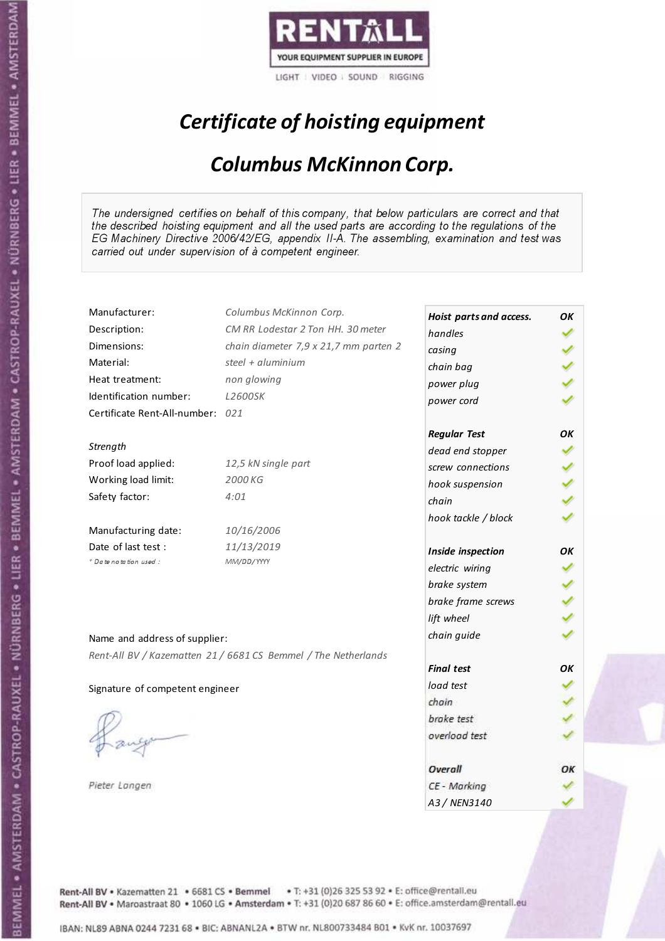

# Certificate of hoisting equipment

#### Columbus McKinnon Corp.

The undersigned certifies on behalf of this company, that below particulars are correct and that the described hoisting equipment and all the used parts are according to the regulations of the EG Machinery Directive 2006/42/EG, appendix II-A. The assembling, examination and test was carried out under supervision of à competent engineer.

| Manufacturer:                    | Columbus McKinnon Corp.                                        | Hoist parts and access. | OK |
|----------------------------------|----------------------------------------------------------------|-------------------------|----|
| Description:                     | CM RR Lodestar 2 Ton HH. 30 meter                              | handles                 |    |
| Dimensions:                      | chain diameter 7,9 x 21,7 mm parten 2                          | casing                  |    |
| Material:                        | steel + aluminium                                              | chain bag               |    |
| Heat treatment:                  | non glowing                                                    | power plug              |    |
| Identification number:           | <b>L2600SK</b>                                                 | power cord              |    |
| Certificate Rent-All-number: 021 |                                                                |                         |    |
|                                  |                                                                | <b>Regular Test</b>     | OK |
| Strength                         |                                                                | dead end stopper        |    |
| Proof load applied:              | 12,5 kN single part                                            | screw connections       |    |
| Working load limit:              | 2000 KG                                                        | hook suspension         |    |
| Safety factor:                   | 4:01                                                           | chain                   |    |
|                                  |                                                                | hook tackle / block     |    |
| Manufacturing date:              | 10/16/2006                                                     |                         |    |
| Date of last test :              | 11/13/2019                                                     | Inside inspection       | ОΚ |
| * Date notation used :           | MM/DD/YYYY                                                     | electric wiring         |    |
|                                  |                                                                | brake system            |    |
|                                  |                                                                | brake frame screws      |    |
|                                  |                                                                | lift wheel              |    |
| Name and address of supplier:    |                                                                | chain guide             |    |
|                                  | Rent-All BV / Kazematten 21 / 6681 CS Bemmel / The Netherlands |                         |    |
|                                  |                                                                | <b>Final test</b>       | OK |
| Signature of competent engineer  |                                                                | load test               |    |
|                                  |                                                                | chain                   |    |
|                                  |                                                                | brake test              |    |
|                                  |                                                                | overload test           |    |
|                                  |                                                                |                         |    |
|                                  |                                                                | Overall                 | ОΚ |
| Pieter Langen                    |                                                                | CE - Marking            |    |
|                                  |                                                                | A3 / NEN3140            |    |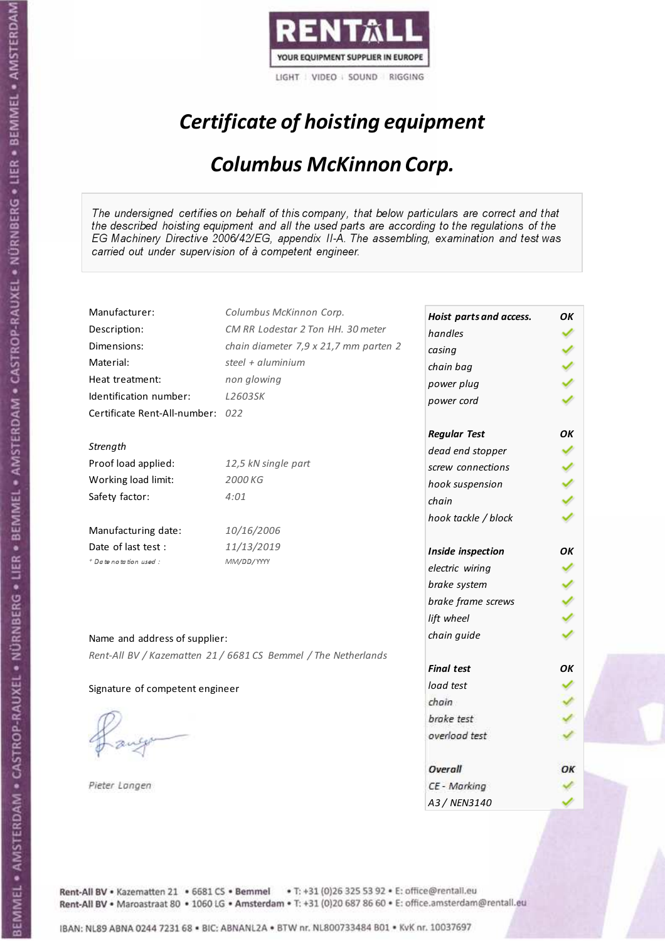

# Certificate of hoisting equipment

#### Columbus McKinnon Corp.

The undersigned certifies on behalf of this company, that below particulars are correct and that the described hoisting equipment and all the used parts are according to the regulations of the EG Machinery Directive 2006/42/EG, appendix II-A. The assembling, examination and test was carried out under supervision of à competent engineer.

| Manufacturer:                    | Columbus McKinnon Corp.                                        | Hoist parts and access. | OK |
|----------------------------------|----------------------------------------------------------------|-------------------------|----|
| Description:                     | CM RR Lodestar 2 Ton HH. 30 meter                              | handles                 |    |
| Dimensions:                      | chain diameter 7,9 x 21,7 mm parten 2                          | casing                  |    |
| Material:                        | steel + aluminium                                              | chain bag               |    |
| Heat treatment:                  | non glowing                                                    | power plug              |    |
| Identification number:           | L2603SK                                                        | power cord              |    |
| Certificate Rent-All-number: 022 |                                                                |                         |    |
|                                  |                                                                | <b>Regular Test</b>     | OK |
| Strength                         |                                                                | dead end stopper        |    |
| Proof load applied:              | 12,5 kN single part                                            | screw connections       |    |
| Working load limit:              | 2000 KG                                                        | hook suspension         |    |
| Safety factor:                   | 4:01                                                           | chain                   |    |
|                                  |                                                                | hook tackle / block     |    |
| Manufacturing date:              | 10/16/2006                                                     |                         |    |
| Date of last test:               | 11/13/2019                                                     | Inside inspection       | ΟK |
| + Date notation used:            | MM/DD/YYYY                                                     | electric wiring         |    |
|                                  |                                                                | brake system            |    |
|                                  |                                                                | brake frame screws      |    |
|                                  |                                                                | lift wheel              |    |
|                                  |                                                                | chain guide             |    |
| Name and address of supplier:    |                                                                |                         |    |
|                                  | Rent-All BV / Kazematten 21 / 6681 CS Bemmel / The Netherlands | <b>Final test</b>       | OK |
|                                  |                                                                | load test               |    |
| Signature of competent engineer  |                                                                | chain                   |    |
|                                  |                                                                | brake test              |    |
|                                  |                                                                | overload test           |    |
|                                  |                                                                |                         |    |
|                                  |                                                                | Overall                 | ОΚ |
| Pieter Langen                    |                                                                | CE - Marking            |    |
|                                  |                                                                | A3 / NEN3140            |    |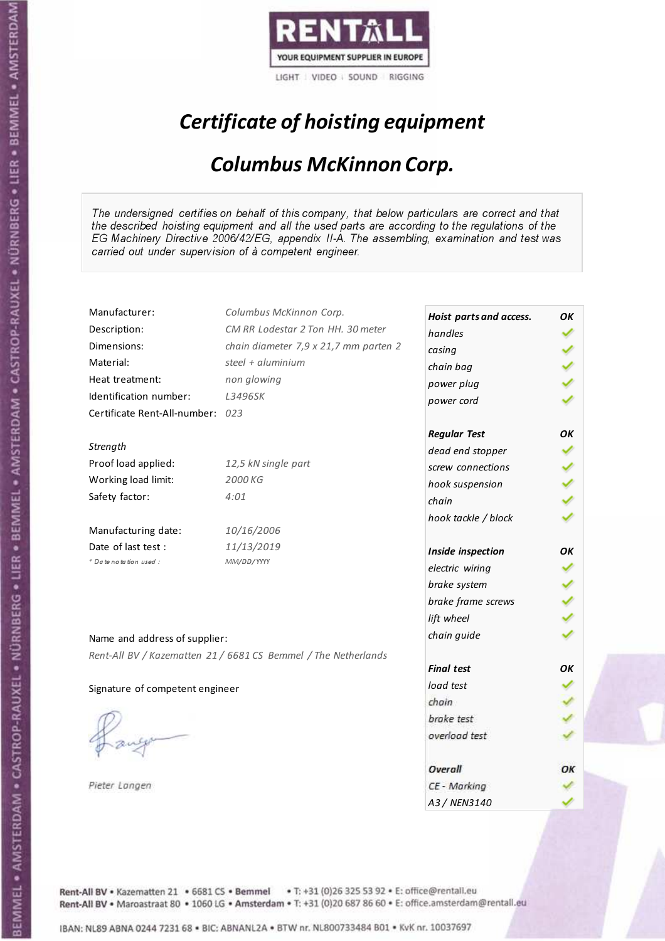

# Certificate of hoisting equipment

#### Columbus McKinnon Corp.

The undersigned certifies on behalf of this company, that below particulars are correct and that the described hoisting equipment and all the used parts are according to the regulations of the EG Machinery Directive 2006/42/EG, appendix II-A. The assembling, examination and test was carried out under supervision of à competent engineer.

| Manufacturer:                    | Columbus McKinnon Corp.                                        |                         |    |
|----------------------------------|----------------------------------------------------------------|-------------------------|----|
|                                  | CM RR Lodestar 2 Ton HH. 30 meter                              | Hoist parts and access. | OK |
| Description:                     |                                                                | handles                 |    |
| Dimensions:                      | chain diameter 7,9 x 21,7 mm parten 2                          | casing                  |    |
| Material:                        | steel + $aluminim$                                             | chain bag               |    |
| Heat treatment:                  | non glowing                                                    | power plug              |    |
| Identification number:           | L3496SK                                                        | power cord              |    |
| Certificate Rent-All-number: 023 |                                                                |                         |    |
|                                  |                                                                | <b>Regular Test</b>     | OK |
| Strength                         |                                                                | dead end stopper        |    |
| Proof load applied:              | 12,5 kN single part                                            | screw connections       |    |
| Working load limit:              | 2000 KG                                                        | hook suspension         |    |
| Safety factor:                   | 4:01                                                           | chain                   |    |
|                                  |                                                                | hook tackle / block     |    |
| Manufacturing date:              | 10/16/2006                                                     |                         |    |
| Date of last test:               | 11/13/2019                                                     | Inside inspection       | OК |
| + Date notation used:            | MM/DD/YYYY                                                     | electric wiring         |    |
|                                  |                                                                | brake system            |    |
|                                  |                                                                | brake frame screws      |    |
|                                  |                                                                | lift wheel              |    |
| Name and address of supplier:    |                                                                | chain guide             |    |
|                                  | Rent-All BV / Kazematten 21 / 6681 CS Bemmel / The Netherlands |                         |    |
|                                  |                                                                | <b>Final test</b>       | ΟK |
| Signature of competent engineer  |                                                                | load test               |    |
|                                  |                                                                | chain                   |    |
|                                  |                                                                | brake test              |    |
|                                  |                                                                | overload test           |    |
|                                  |                                                                |                         |    |
|                                  |                                                                | Overall                 |    |
| Pieter Langen                    |                                                                | CE - Marking            |    |
|                                  |                                                                | A3 / NEN3140            |    |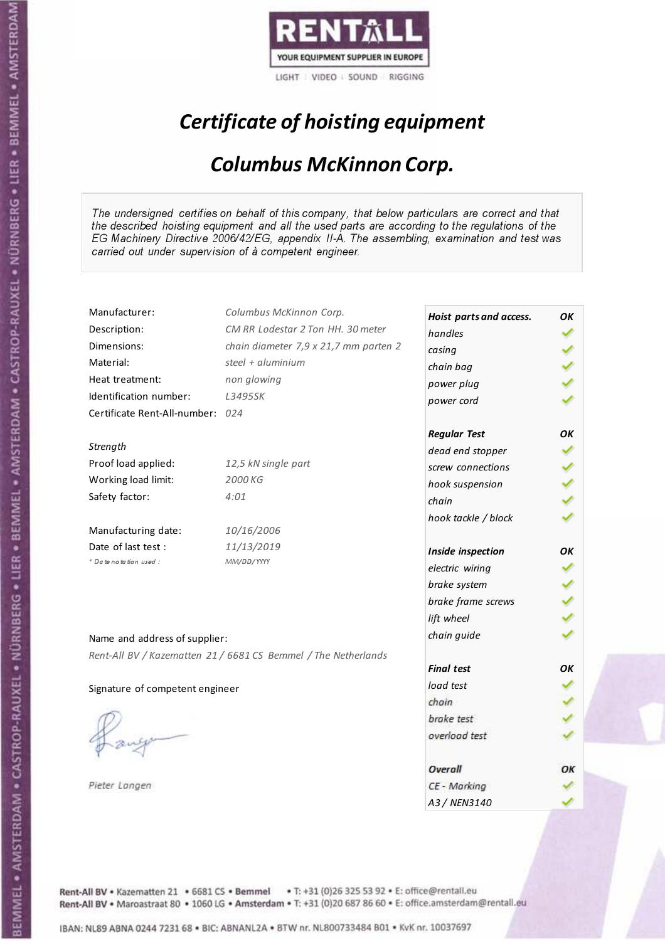

# Certificate of hoisting equipment

#### Columbus McKinnon Corp.

The undersigned certifies on behalf of this company, that below particulars are correct and that the described hoisting equipment and all the used parts are according to the regulations of the EG Machinery Directive 2006/42/EG, appendix II-A. The assembling, examination and test was carried out under supervision of à competent engineer.

| Manufacturer:                    | Columbus McKinnon Corp.                                        | Hoist parts and access. | OK |
|----------------------------------|----------------------------------------------------------------|-------------------------|----|
| Description:                     | CM RR Lodestar 2 Ton HH. 30 meter                              | handles                 |    |
| Dimensions:                      | chain diameter 7,9 x 21,7 mm parten 2                          | casing                  |    |
| Material:                        | steel + aluminium                                              | chain bag               |    |
| Heat treatment:                  | non glowing                                                    | power plug              |    |
| Identification number:           | L3495SK                                                        | power cord              |    |
| Certificate Rent-All-number: 024 |                                                                |                         |    |
|                                  |                                                                | <b>Regular Test</b>     | OK |
| Strength                         |                                                                | dead end stopper        |    |
| Proof load applied:              | 12,5 kN single part                                            | screw connections       |    |
| Working load limit:              | 2000 KG                                                        | hook suspension         |    |
| Safety factor:                   | 4:01                                                           | chain                   |    |
|                                  |                                                                | hook tackle / block     |    |
| Manufacturing date:              | 10/16/2006                                                     |                         |    |
| Date of last test:               | 11/13/2019                                                     | Inside inspection       | ΟK |
| + Date notation used:            | MM/DD/YYYY                                                     | electric wiring         |    |
|                                  |                                                                | brake system            |    |
|                                  |                                                                | brake frame screws      |    |
|                                  |                                                                | lift wheel              |    |
| Name and address of supplier:    |                                                                | chain guide             |    |
|                                  | Rent-All BV / Kazematten 21 / 6681 CS Bemmel / The Netherlands |                         |    |
|                                  |                                                                | <b>Final test</b>       | OK |
| Signature of competent engineer  |                                                                | load test               |    |
|                                  |                                                                | chain                   |    |
|                                  |                                                                | brake test              |    |
|                                  |                                                                | overload test           |    |
|                                  |                                                                |                         |    |
|                                  |                                                                | Overall                 | ОΚ |
| Pieter Langen                    |                                                                | CE - Marking            |    |
|                                  |                                                                | A3 / NEN3140            |    |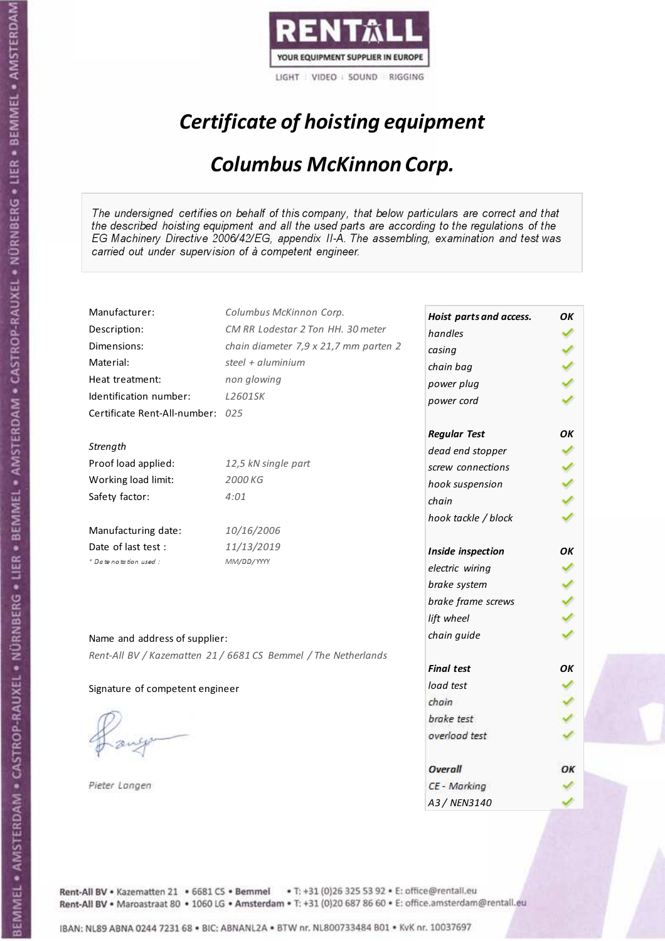

# Certificate of hoisting equipment

#### Columbus McKinnon Corp.

The undersigned certifies on behalf of this company, that below particulars are correct and that the described hoisting equipment and all the used parts are according to the regulations of the EG Machinery Directive 2006/42/EG, appendix II-A. The assembling, examination and test was carried out under supervision of à competent engineer.

| Manufacturer:                    | Columbus McKinnon Corp.                                        | Hoist parts and access. | OK |
|----------------------------------|----------------------------------------------------------------|-------------------------|----|
| Description:                     | CM RR Lodestar 2 Ton HH. 30 meter                              | handles                 |    |
| Dimensions:                      | chain diameter 7,9 x 21,7 mm parten 2                          | casing                  |    |
| Material:                        | steel + aluminium                                              | chain bag               |    |
| Heat treatment:                  | non glowing                                                    | power plug              |    |
| Identification number:           | L2601SK                                                        | power cord              |    |
| Certificate Rent-All-number: 025 |                                                                |                         |    |
|                                  |                                                                | <b>Regular Test</b>     | OК |
| Strength                         |                                                                | dead end stopper        |    |
| Proof load applied:              | 12,5 kN single part                                            | screw connections       |    |
| Working load limit:              | 2000 KG                                                        | hook suspension         |    |
| Safety factor:                   | 4:01                                                           | chain                   |    |
|                                  |                                                                | hook tackle / block     |    |
| Manufacturing date:              | 10/16/2006                                                     |                         |    |
| Date of last test :              | 11/13/2019                                                     | Inside inspection       | OК |
| * Date notation used :           | MM/DD/YYYY                                                     | electric wiring         |    |
|                                  |                                                                | brake system            |    |
|                                  |                                                                | brake frame screws      |    |
|                                  |                                                                | lift wheel              |    |
|                                  |                                                                | chain guide             |    |
| Name and address of supplier:    |                                                                |                         |    |
|                                  | Rent-All BV / Kazematten 21 / 6681 CS Bemmel / The Netherlands | <b>Final test</b>       | OК |
| Signature of competent engineer  |                                                                | load test               |    |
|                                  |                                                                | chain                   |    |
|                                  |                                                                | brake test              |    |
|                                  |                                                                | overload test           |    |
|                                  |                                                                |                         |    |
|                                  |                                                                | Overall                 | ОΚ |
| Pieter Langen                    |                                                                | CE - Marking            |    |
|                                  |                                                                | A3 / NEN3140            |    |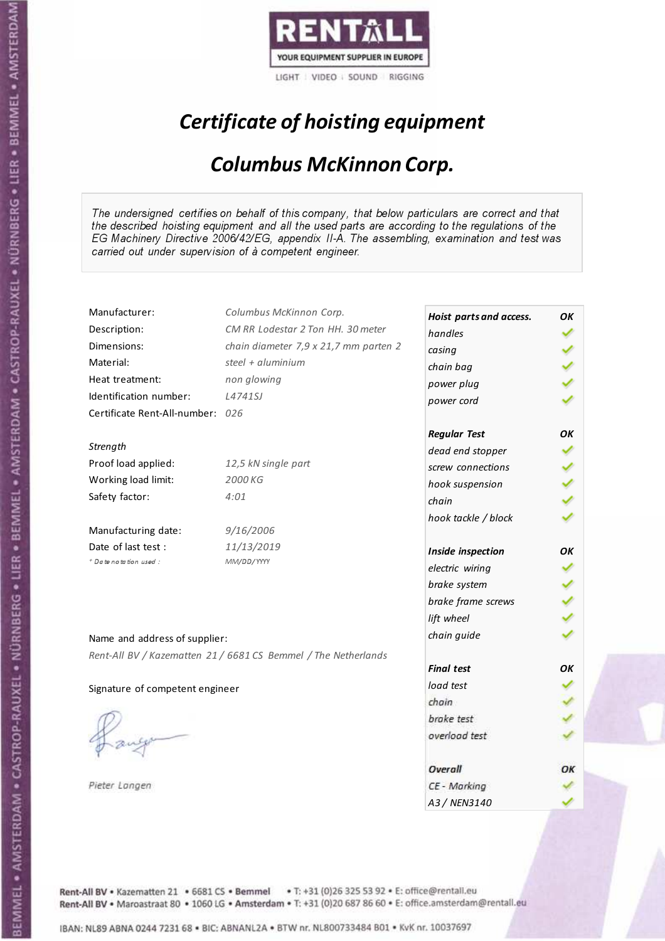

# Certificate of hoisting equipment

#### Columbus McKinnon Corp.

The undersigned certifies on behalf of this company, that below particulars are correct and that the described hoisting equipment and all the used parts are according to the regulations of the EG Machinery Directive 2006/42/EG, appendix II-A. The assembling, examination and test was carried out under supervision of à competent engineer.

| Manufacturer:                    | Columbus McKinnon Corp.                                        | Hoist parts and access. | OK |
|----------------------------------|----------------------------------------------------------------|-------------------------|----|
| Description:                     | CM RR Lodestar 2 Ton HH. 30 meter                              | handles                 |    |
| Dimensions:                      | chain diameter 7,9 x 21,7 mm parten 2                          | casing                  |    |
| Material:                        | steel + aluminium                                              | chain bag               |    |
| Heat treatment:                  | non glowing                                                    | power plug              |    |
| Identification number:           | L4741SJ                                                        | power cord              |    |
| Certificate Rent-All-number: 026 |                                                                |                         |    |
|                                  |                                                                | <b>Regular Test</b>     | OK |
| Strength                         |                                                                | dead end stopper        |    |
| Proof load applied:              | 12,5 kN single part                                            | screw connections       |    |
| Working load limit:              | 2000 KG                                                        | hook suspension         |    |
| Safety factor:                   | 4:01                                                           | chain                   |    |
|                                  |                                                                | hook tackle / block     |    |
| Manufacturing date:              | 9/16/2006                                                      |                         |    |
| Date of last test :              | 11/13/2019                                                     | Inside inspection       | OK |
| + Date notation used:            | MM/DD/YYYY                                                     | electric wiring         |    |
|                                  |                                                                |                         |    |
|                                  |                                                                | brake system            |    |
|                                  |                                                                | brake frame screws      |    |
|                                  |                                                                | lift wheel              |    |
| Name and address of supplier:    |                                                                | chain guide             |    |
|                                  | Rent-All BV / Kazematten 21 / 6681 CS Bemmel / The Netherlands |                         |    |
|                                  |                                                                | <b>Final test</b>       | OK |
| Signature of competent engineer  |                                                                | load test               |    |
|                                  |                                                                | chain                   |    |
|                                  |                                                                | brake test              |    |
|                                  |                                                                | overload test           |    |
|                                  |                                                                | Overall                 | ОΚ |
| Pieter Langen                    |                                                                | CE - Marking            |    |
|                                  |                                                                | A3 / NEN3140            |    |

Rent-All BV . Kazematten 21 . 6681 CS . Bemmel . T: +31 (0)26 325 53 92 . E: office@rentall.eu Rent-All BV · Maroastraat 80 · 1060 LG · Amsterdam · T: +31 (0)20 687 86 60 · E: office.amsterdam@rentall.eu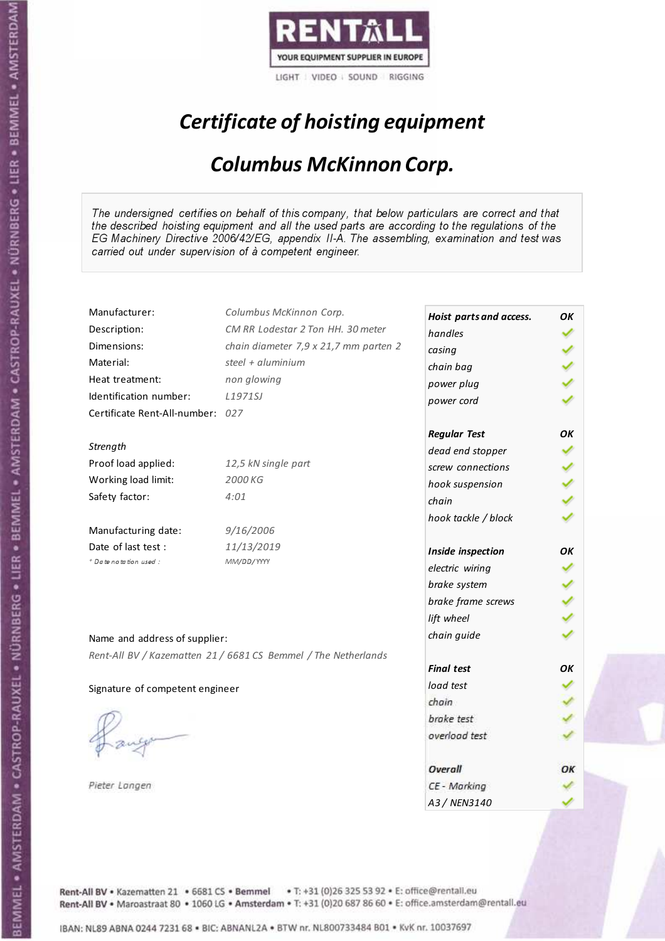

# Certificate of hoisting equipment

#### Columbus McKinnon Corp.

The undersigned certifies on behalf of this company, that below particulars are correct and that the described hoisting equipment and all the used parts are according to the regulations of the EG Machinery Directive 2006/42/EG, appendix II-A. The assembling, examination and test was carried out under supervision of à competent engineer.

| Manufacturer:                    | Columbus McKinnon Corp.                                        | Hoist parts and access. | OK |
|----------------------------------|----------------------------------------------------------------|-------------------------|----|
| Description:                     | CM RR Lodestar 2 Ton HH. 30 meter                              | handles                 |    |
| Dimensions:                      | chain diameter 7,9 x 21,7 mm parten 2                          | casing                  |    |
| Material:                        | steel + aluminium                                              | chain bag               |    |
| Heat treatment:                  | non glowing                                                    | power plug              |    |
| Identification number:           | L1971SJ                                                        | power cord              |    |
| Certificate Rent-All-number: 027 |                                                                |                         |    |
|                                  |                                                                | <b>Regular Test</b>     | OK |
| Strength                         |                                                                | dead end stopper        |    |
| Proof load applied:              | 12,5 kN single part                                            | screw connections       |    |
| Working load limit:              | 2000 KG                                                        | hook suspension         |    |
| Safety factor:                   | 4:01                                                           | chain                   |    |
|                                  |                                                                | hook tackle / block     |    |
| Manufacturing date:              | 9/16/2006                                                      |                         |    |
| Date of last test:               | 11/13/2019                                                     | Inside inspection       | OК |
| + Date notation used:            | MM/DD/YYYY                                                     | electric wiring         |    |
|                                  |                                                                | brake system            |    |
|                                  |                                                                | brake frame screws      |    |
|                                  |                                                                | lift wheel              |    |
| Name and address of supplier:    |                                                                | chain guide             |    |
|                                  | Rent-All BV / Kazematten 21 / 6681 CS Bemmel / The Netherlands |                         |    |
|                                  |                                                                | <b>Final test</b>       | OK |
| Signature of competent engineer  |                                                                | load test               |    |
|                                  |                                                                | chain                   |    |
|                                  |                                                                | brake test              |    |
|                                  |                                                                | overload test           |    |
|                                  |                                                                |                         |    |
|                                  |                                                                | Overall                 | ОΚ |
| Pieter Langen                    |                                                                | CE - Marking            |    |
|                                  |                                                                | A3 / NEN3140            |    |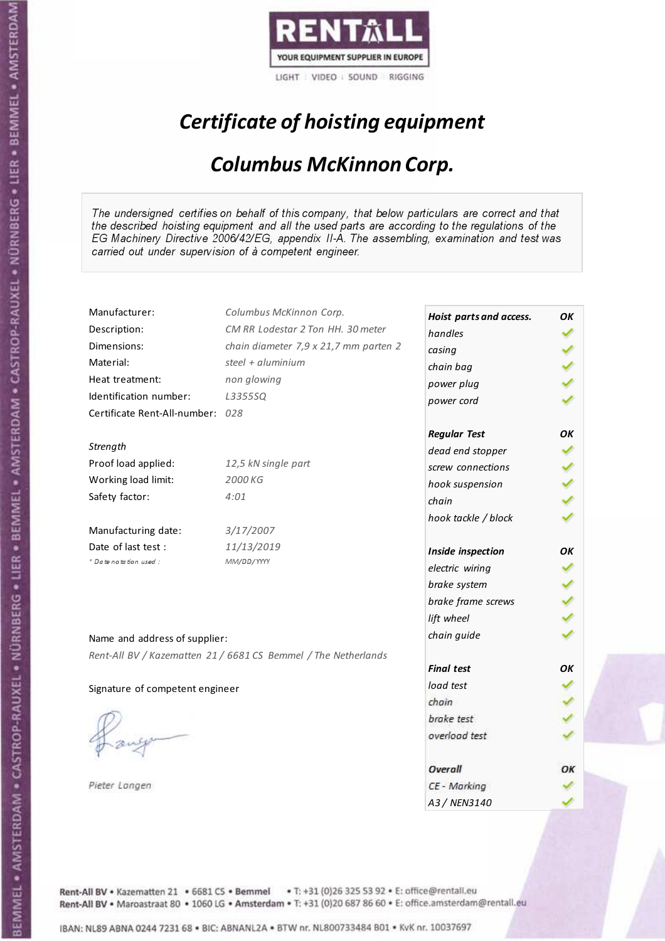

# Certificate of hoisting equipment

#### Columbus McKinnon Corp.

The undersigned certifies on behalf of this company, that below particulars are correct and that the described hoisting equipment and all the used parts are according to the regulations of the EG Machinery Directive 2006/42/EG, appendix II-A. The assembling, examination and test was carried out under supervision of à competent engineer.

| Manufacturer:                    | Columbus McKinnon Corp.                                        | Hoist parts and access. | OK |
|----------------------------------|----------------------------------------------------------------|-------------------------|----|
| Description:                     | CM RR Lodestar 2 Ton HH. 30 meter                              | handles                 |    |
| Dimensions:                      | chain diameter 7,9 x 21,7 mm parten 2                          | casing                  |    |
| Material:                        | steel + aluminium                                              | chain bag               |    |
| Heat treatment:                  | non glowing                                                    | power plug              |    |
| Identification number:           | L3355SQ                                                        | power cord              |    |
| Certificate Rent-All-number: 028 |                                                                |                         |    |
|                                  |                                                                | <b>Regular Test</b>     | OK |
| Strength                         |                                                                | dead end stopper        |    |
| Proof load applied:              | 12,5 kN single part                                            | screw connections       |    |
| Working load limit:              | 2000 KG                                                        | hook suspension         |    |
| Safety factor:                   | 4:01                                                           | chain                   |    |
|                                  |                                                                | hook tackle / block     |    |
| Manufacturing date:              | 3/17/2007                                                      |                         |    |
| Date of last test:               | 11/13/2019                                                     | Inside inspection       | OК |
| + Date notation used:            | MM/DD/YYYY                                                     | electric wiring         |    |
|                                  |                                                                | brake system            |    |
|                                  |                                                                | brake frame screws      |    |
|                                  |                                                                | lift wheel              |    |
|                                  |                                                                | chain guide             |    |
| Name and address of supplier:    |                                                                |                         |    |
|                                  | Rent-All BV / Kazematten 21 / 6681 CS Bemmel / The Netherlands | <b>Final test</b>       | OK |
|                                  |                                                                | load test               |    |
| Signature of competent engineer  |                                                                | chain                   |    |
|                                  |                                                                | brake test              |    |
|                                  |                                                                | overload test           |    |
|                                  |                                                                |                         |    |
|                                  |                                                                | Overall                 | ОΚ |
| Pieter Langen                    |                                                                | CE - Marking            |    |
|                                  |                                                                | A3 / NEN3140            |    |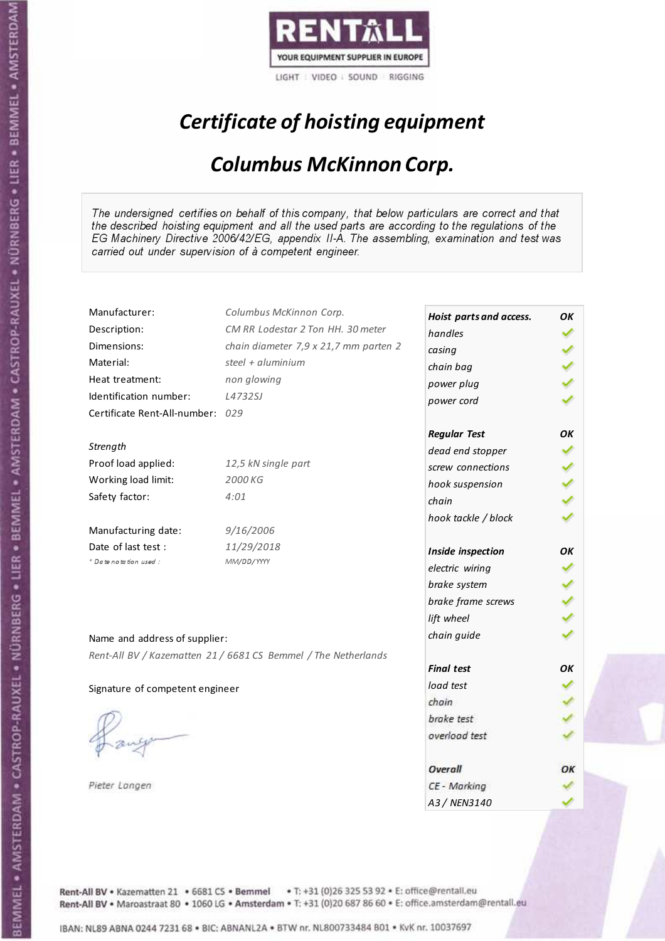

# Certificate of hoisting equipment

#### Columbus McKinnon Corp.

The undersigned certifies on behalf of this company, that below particulars are correct and that the described hoisting equipment and all the used parts are according to the regulations of the EG Machinery Directive 2006/42/EG, appendix II-A. The assembling, examination and test was carried out under supervision of à competent engineer.

| Manufacturer:                    | Columbus McKinnon Corp.                                        | Hoist parts and access.          | OK |
|----------------------------------|----------------------------------------------------------------|----------------------------------|----|
| Description:                     | CM RR Lodestar 2 Ton HH. 30 meter                              | handles                          |    |
| Dimensions:                      | chain diameter 7,9 x 21,7 mm parten 2                          | casing                           |    |
| Material:                        | steel + aluminium                                              | chain bag                        |    |
| Heat treatment:                  | non glowing                                                    | power plug                       |    |
| Identification number:           | L4732SJ                                                        | power cord                       |    |
| Certificate Rent-All-number: 029 |                                                                |                                  |    |
|                                  |                                                                | <b>Regular Test</b>              | OK |
| Strength                         |                                                                | dead end stopper                 |    |
| Proof load applied:              | 12,5 kN single part                                            | screw connections                |    |
| Working load limit:              | 2000 KG                                                        | hook suspension                  |    |
| Safety factor:                   | 4:01                                                           | chain                            |    |
|                                  |                                                                | hook tackle / block              |    |
| Manufacturing date:              | 9/16/2006                                                      |                                  |    |
| Date of last test:               | 11/29/2018                                                     | Inside inspection                | OΚ |
| + Date notation used :           | MM/DD/YYYY                                                     | electric wiring                  |    |
|                                  |                                                                | brake system                     |    |
|                                  |                                                                |                                  |    |
|                                  |                                                                | brake frame screws<br>lift wheel |    |
|                                  |                                                                |                                  |    |
| Name and address of supplier:    |                                                                | chain guide                      |    |
|                                  | Rent-All BV / Kazematten 21 / 6681 CS Bemmel / The Netherlands |                                  |    |
|                                  |                                                                | <b>Final test</b>                | OΚ |
| Signature of competent engineer  |                                                                | load test                        |    |
|                                  |                                                                | chain                            |    |
|                                  |                                                                | brake test                       |    |
|                                  |                                                                | overload test                    |    |
|                                  |                                                                |                                  |    |
|                                  |                                                                | Overall                          | ОΚ |
| Pieter Langen                    |                                                                | CE - Marking                     |    |
|                                  |                                                                | A3 / NEN3140                     |    |

Rent-All BV . Kazematten 21 . 6681 CS . Bemmel . T: +31 (0)26 325 53 92 . E: office@rentall.eu Rent-All BV · Maroastraat 80 · 1060 LG · Amsterdam · T: +31 (0)20 687 86 60 · E: office.amsterdam@rentall.eu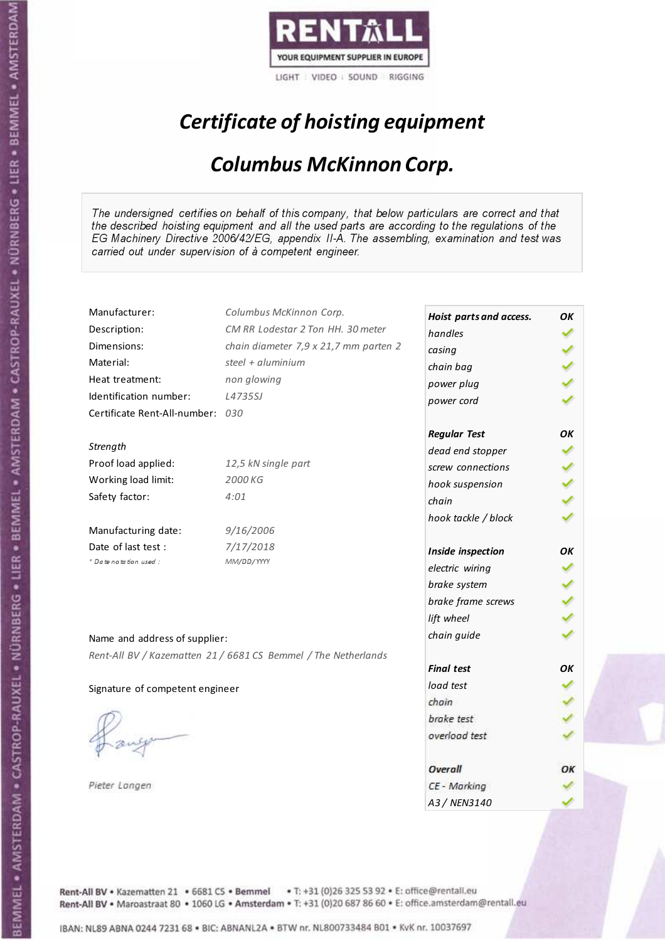

# Certificate of hoisting equipment

#### Columbus McKinnon Corp.

The undersigned certifies on behalf of this company, that below particulars are correct and that the described hoisting equipment and all the used parts are according to the regulations of the EG Machinery Directive 2006/42/EG, appendix II-A. The assembling, examination and test was carried out under supervision of à competent engineer.

| Manufacturer:                    | Columbus McKinnon Corp.                                        | Hoist parts and access. | OK |
|----------------------------------|----------------------------------------------------------------|-------------------------|----|
| Description:                     | CM RR Lodestar 2 Ton HH. 30 meter                              | handles                 |    |
| Dimensions:                      | chain diameter 7,9 x 21,7 mm parten 2                          | casing                  |    |
| Material:                        | steel + aluminium                                              | chain bag               |    |
| Heat treatment:                  | non glowing                                                    | power plug              |    |
| Identification number:           | L4735SJ                                                        | power cord              |    |
| Certificate Rent-All-number: 030 |                                                                |                         |    |
|                                  |                                                                | <b>Regular Test</b>     | OK |
| Strength                         |                                                                | dead end stopper        |    |
| Proof load applied:              | 12,5 kN single part                                            | screw connections       |    |
| Working load limit:              | 2000 KG                                                        | hook suspension         |    |
| Safety factor:                   | 4:01                                                           | chain                   |    |
|                                  |                                                                | hook tackle / block     |    |
| Manufacturing date:              | 9/16/2006                                                      |                         |    |
| Date of last test :              | 7/17/2018                                                      | Inside inspection       | ΟK |
| + Date notation used :           | MM/DD/YYYY                                                     | electric wiring         |    |
|                                  |                                                                | brake system            |    |
|                                  |                                                                | brake frame screws      |    |
|                                  |                                                                | lift wheel              |    |
|                                  |                                                                | chain guide             |    |
| Name and address of supplier:    |                                                                |                         |    |
|                                  | Rent-All BV / Kazematten 21 / 6681 CS Bemmel / The Netherlands | <b>Final test</b>       | OK |
|                                  |                                                                | load test               |    |
| Signature of competent engineer  |                                                                | chain                   |    |
|                                  |                                                                | brake test              |    |
|                                  |                                                                | overload test           |    |
|                                  |                                                                |                         |    |
|                                  |                                                                | Overall                 | ОК |
| Pieter Langen                    |                                                                | CE - Marking            |    |
|                                  |                                                                | A3 / NEN3140            |    |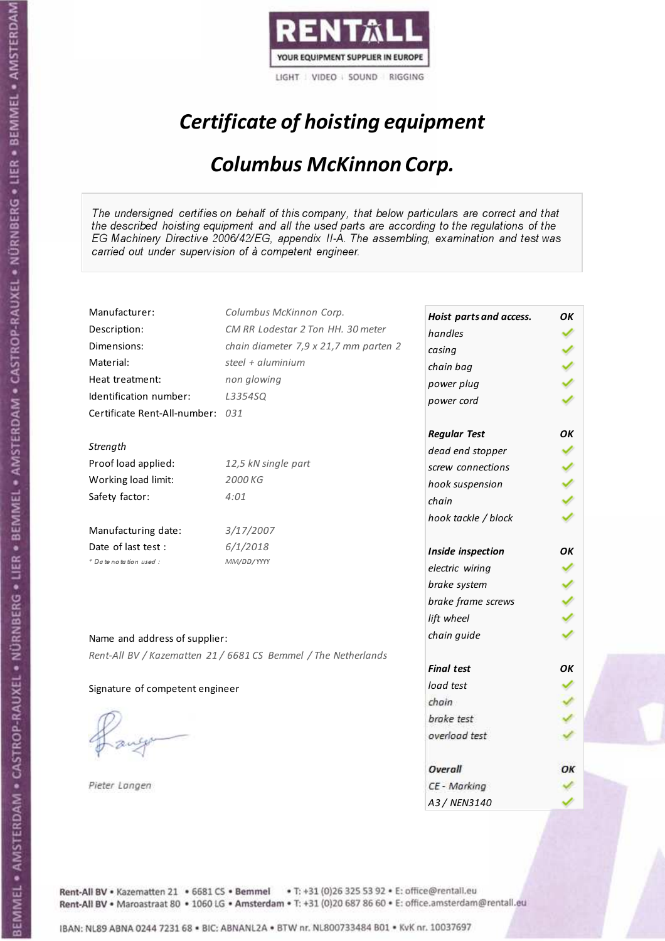

# Certificate of hoisting equipment

#### Columbus McKinnon Corp.

The undersigned certifies on behalf of this company, that below particulars are correct and that the described hoisting equipment and all the used parts are according to the regulations of the EG Machinery Directive 2006/42/EG, appendix II-A. The assembling, examination and test was carried out under supervision of à competent engineer.

| Manufacturer:                    | Columbus McKinnon Corp.                                        | Hoist parts and access. | OK |
|----------------------------------|----------------------------------------------------------------|-------------------------|----|
| Description:                     | CM RR Lodestar 2 Ton HH. 30 meter                              | handles                 |    |
| Dimensions:                      | chain diameter 7,9 x 21,7 mm parten 2                          | casing                  |    |
| Material:                        | steel + aluminium                                              | chain bag               |    |
| Heat treatment:                  | non glowing                                                    | power plug              |    |
| Identification number:           | L3354SQ                                                        | power cord              |    |
| Certificate Rent-All-number: 031 |                                                                |                         |    |
|                                  |                                                                | <b>Regular Test</b>     | OK |
| Strength                         |                                                                | dead end stopper        |    |
| Proof load applied:              | 12,5 kN single part                                            | screw connections       |    |
| Working load limit:              | 2000 KG                                                        | hook suspension         |    |
| Safety factor:                   | 4:01                                                           | chain                   |    |
|                                  |                                                                | hook tackle / block     |    |
| Manufacturing date:              | 3/17/2007                                                      |                         |    |
| Date of last test :              | 6/1/2018                                                       | Inside inspection       | ОΚ |
| + Date notation used:            | MM/DD/YYYY                                                     | electric wiring         |    |
|                                  |                                                                | brake system            |    |
|                                  |                                                                | brake frame screws      |    |
|                                  |                                                                | lift wheel              |    |
|                                  |                                                                | chain guide             |    |
| Name and address of supplier:    |                                                                |                         |    |
|                                  | Rent-All BV / Kazematten 21 / 6681 CS Bemmel / The Netherlands | <b>Final test</b>       | OK |
|                                  |                                                                | load test               |    |
| Signature of competent engineer  |                                                                | chain                   |    |
|                                  |                                                                | brake test              |    |
|                                  |                                                                |                         |    |
|                                  |                                                                | overload test           |    |
|                                  |                                                                |                         |    |
|                                  |                                                                | Overall                 | ОΚ |
| Pieter Langen                    |                                                                | CE - Marking            |    |
|                                  |                                                                | A3 / NEN3140            |    |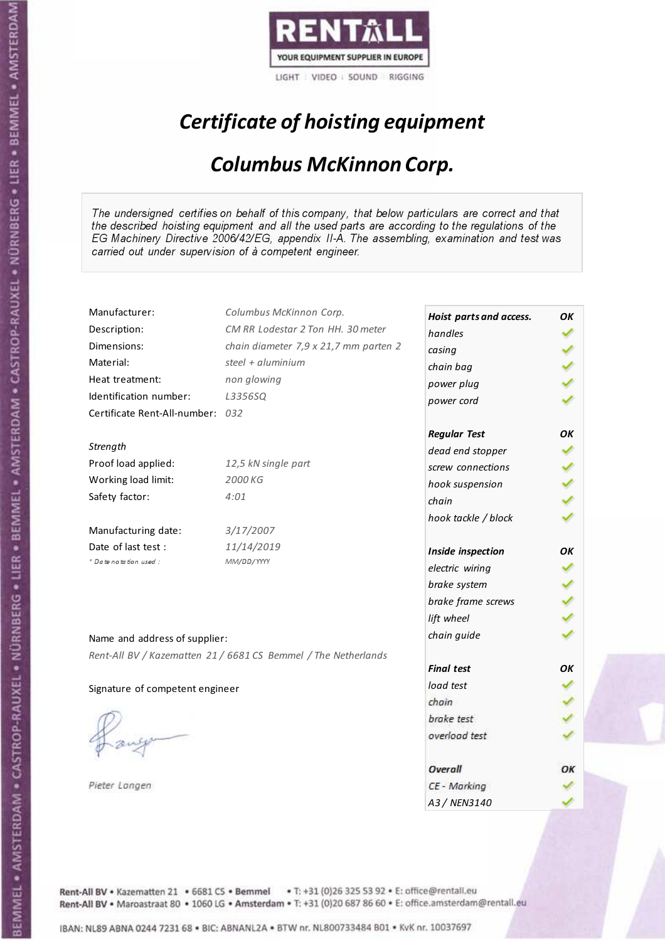

# Certificate of hoisting equipment

#### Columbus McKinnon Corp.

The undersigned certifies on behalf of this company, that below particulars are correct and that the described hoisting equipment and all the used parts are according to the regulations of the EG Machinery Directive 2006/42/EG, appendix II-A. The assembling, examination and test was carried out under supervision of à competent engineer.

| Manufacturer:                    | Columbus McKinnon Corp.                                        | Hoist parts and access. | OK |
|----------------------------------|----------------------------------------------------------------|-------------------------|----|
| Description:                     | CM RR Lodestar 2 Ton HH. 30 meter                              | handles                 |    |
| Dimensions:                      | chain diameter 7,9 x 21,7 mm parten 2                          | casing                  |    |
| Material:                        | steel + $aluminim$                                             | chain bag               |    |
| Heat treatment:                  | non glowing                                                    | power plug              |    |
| Identification number:           | L3356SQ                                                        | power cord              |    |
| Certificate Rent-All-number: 032 |                                                                |                         |    |
|                                  |                                                                | <b>Regular Test</b>     | OК |
| Strength                         |                                                                | dead end stopper        |    |
| Proof load applied:              | 12,5 kN single part                                            | screw connections       |    |
| Working load limit:              | 2000 KG                                                        | hook suspension         |    |
| Safety factor:                   | 4:01                                                           | chain                   |    |
|                                  |                                                                | hook tackle / block     |    |
| Manufacturing date:              | 3/17/2007                                                      |                         |    |
| Date of last test :              | 11/14/2019                                                     | Inside inspection       | OK |
| + Date notation used:            | MM/DD/YYYY                                                     | electric wiring         |    |
|                                  |                                                                | brake system            |    |
|                                  |                                                                | brake frame screws      |    |
|                                  |                                                                | lift wheel              |    |
| Name and address of supplier:    |                                                                | chain guide             |    |
|                                  | Rent-All BV / Kazematten 21 / 6681 CS Bemmel / The Netherlands |                         |    |
|                                  |                                                                | <b>Final test</b>       | OK |
| Signature of competent engineer  |                                                                | load test               |    |
|                                  |                                                                | chain                   |    |
|                                  |                                                                | brake test              |    |
|                                  |                                                                | overload test           |    |
|                                  |                                                                | Overall                 | ОΚ |
| Pieter Langen                    |                                                                | CE - Marking            |    |
|                                  |                                                                | A3 / NEN3140            |    |

Rent-All BV . Kazematten 21 . 6681 CS . Bemmel . T: +31 (0)26 325 53 92 . E: office@rentall.eu Rent-All BV · Maroastraat 80 · 1060 LG · Amsterdam · T: +31 (0)20 687 86 60 · E: office.amsterdam@rentall.eu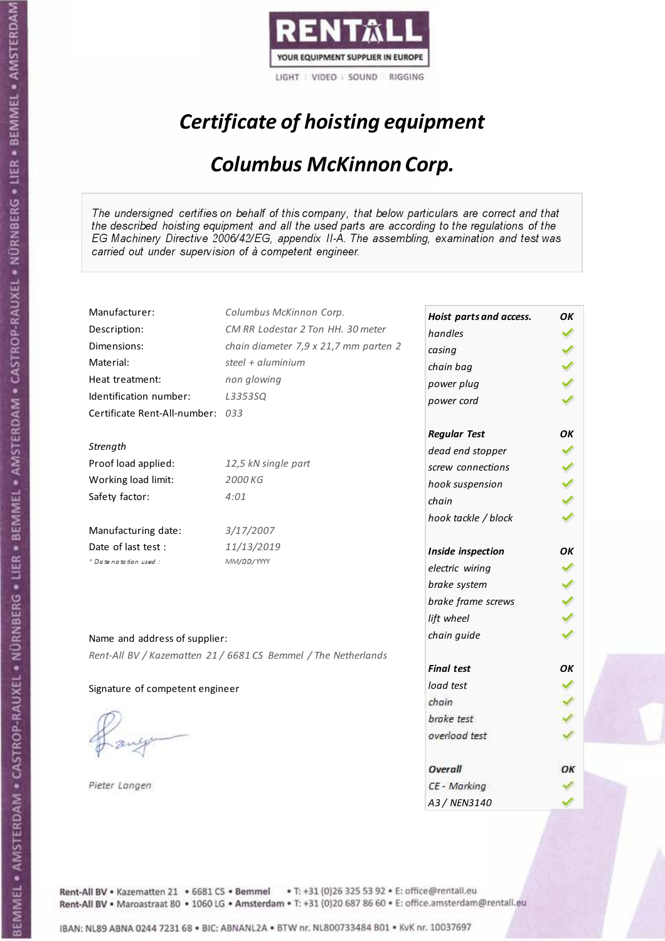

# Certificate of hoisting equipment

#### Columbus McKinnon Corp.

The undersigned certifies on behalf of this company, that below particulars are correct and that the described hoisting equipment and all the used parts are according to the regulations of the EG Machinery Directive 2006/42/EG, appendix II-A. The assembling, examination and test was carried out under supervision of à competent engineer.

| Manufacturer:                    | Columbus McKinnon Corp.                                        | Hoist parts and access. | OK |
|----------------------------------|----------------------------------------------------------------|-------------------------|----|
| Description:                     | CM RR Lodestar 2 Ton HH. 30 meter                              | handles                 |    |
| Dimensions:                      | chain diameter 7,9 x 21,7 mm parten 2                          | casing                  |    |
| Material:                        | steel + aluminium                                              | chain bag               |    |
| Heat treatment:                  | non glowing                                                    | power plug              |    |
| Identification number:           | L3353SQ                                                        | power cord              |    |
| Certificate Rent-All-number: 033 |                                                                |                         |    |
|                                  |                                                                | <b>Regular Test</b>     | OK |
| Strength                         |                                                                | dead end stopper        |    |
| Proof load applied:              | 12,5 kN single part                                            | screw connections       |    |
| Working load limit:              | 2000 KG                                                        | hook suspension         |    |
| Safety factor:                   | 4:01                                                           | chain                   |    |
|                                  |                                                                | hook tackle / block     |    |
| Manufacturing date:              | 3/17/2007                                                      |                         |    |
| Date of last test :              | 11/13/2019                                                     | Inside inspection       | ΟK |
| * Date notation used :           | MM/DD/YYYY                                                     | electric wiring         |    |
|                                  |                                                                | brake system            |    |
|                                  |                                                                | brake frame screws      |    |
|                                  |                                                                | lift wheel              |    |
|                                  |                                                                | chain guide             |    |
| Name and address of supplier:    |                                                                |                         |    |
|                                  | Rent-All BV / Kazematten 21 / 6681 CS Bemmel / The Netherlands | <b>Final test</b>       | OК |
|                                  |                                                                | load test               |    |
| Signature of competent engineer  |                                                                | chain                   |    |
|                                  |                                                                | brake test              |    |
|                                  |                                                                | overload test           |    |
|                                  |                                                                |                         |    |
|                                  |                                                                | Overall                 | ОΚ |
| Pieter Langen                    |                                                                | CE - Marking            |    |
|                                  |                                                                | A3 / NEN3140            |    |

Rent-All BV . Kazematten 21 . 6681 CS . Bemmel . T: +31 (0)26 325 53 92 . E: office@rentall.eu Rent-All BV · Maroastraat 80 · 1060 LG · Amsterdam · T: +31 (0)20 687 86 60 · E: office.amsterdam@rentall.eu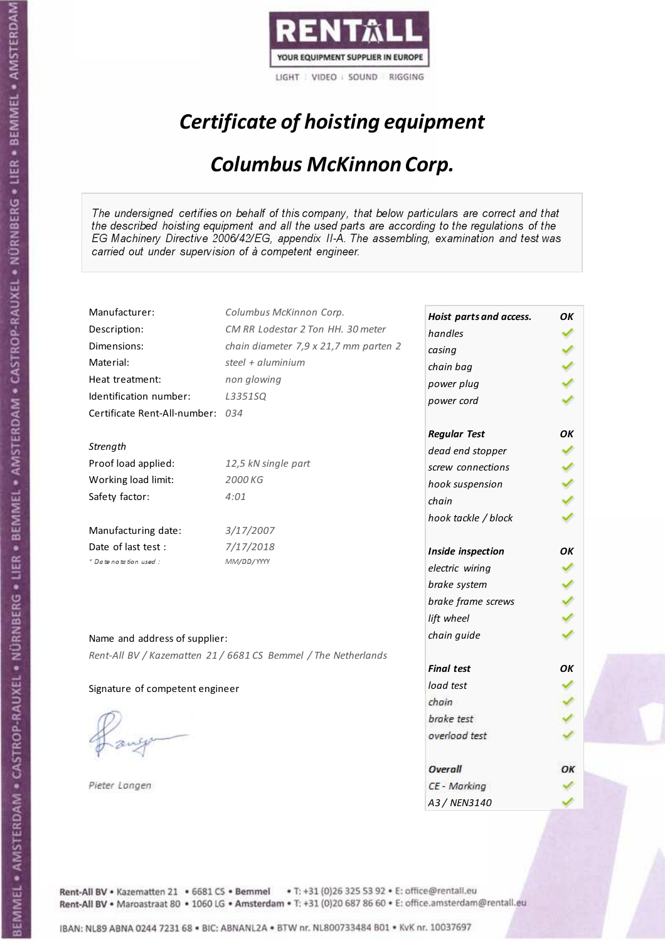

# Certificate of hoisting equipment

#### Columbus McKinnon Corp.

The undersigned certifies on behalf of this company, that below particulars are correct and that the described hoisting equipment and all the used parts are according to the regulations of the EG Machinery Directive 2006/42/EG, appendix II-A. The assembling, examination and test was carried out under supervision of à competent engineer.

| Manufacturer:                    | Columbus McKinnon Corp.                                        | Hoist parts and access. | OK |
|----------------------------------|----------------------------------------------------------------|-------------------------|----|
| Description:                     | CM RR Lodestar 2 Ton HH. 30 meter                              | handles                 |    |
| Dimensions:                      | chain diameter 7,9 x 21,7 mm parten 2                          | casing                  |    |
| Material:                        | steel + aluminium                                              | chain bag               |    |
| Heat treatment:                  | non glowing                                                    | power plug              |    |
| Identification number:           | L3351SQ                                                        | power cord              |    |
| Certificate Rent-All-number: 034 |                                                                |                         |    |
|                                  |                                                                | <b>Regular Test</b>     | OK |
| Strength                         |                                                                | dead end stopper        |    |
| Proof load applied:              | 12,5 kN single part                                            | screw connections       |    |
| Working load limit:              | 2000 KG                                                        | hook suspension         |    |
| Safety factor:                   | 4:01                                                           | chain                   |    |
|                                  |                                                                | hook tackle / block     |    |
| Manufacturing date:              | 3/17/2007                                                      |                         |    |
| Date of last test :              | 7/17/2018                                                      | Inside inspection       | ΟK |
| + Date notation used :           | MM/DD/YYYY                                                     | electric wiring         |    |
|                                  |                                                                | brake system            |    |
|                                  |                                                                | brake frame screws      |    |
|                                  |                                                                | lift wheel              |    |
|                                  |                                                                | chain guide             |    |
| Name and address of supplier:    |                                                                |                         |    |
|                                  | Rent-All BV / Kazematten 21 / 6681 CS Bemmel / The Netherlands | <b>Final test</b>       | OK |
|                                  |                                                                | load test               |    |
| Signature of competent engineer  |                                                                | chain                   |    |
|                                  |                                                                | brake test              |    |
|                                  |                                                                | overload test           |    |
|                                  |                                                                |                         |    |
|                                  |                                                                | Overall                 | ОК |
| Pieter Langen                    |                                                                | CE - Marking            |    |
|                                  |                                                                | A3 / NEN3140            |    |

Rent-All BV . Kazematten 21 . 6681 CS . Bemmel . T: +31 (0)26 325 53 92 . E: office@rentall.eu Rent-All BV · Maroastraat 80 · 1060 LG · Amsterdam · T: +31 (0)20 687 86 60 · E: office.amsterdam@rentall.eu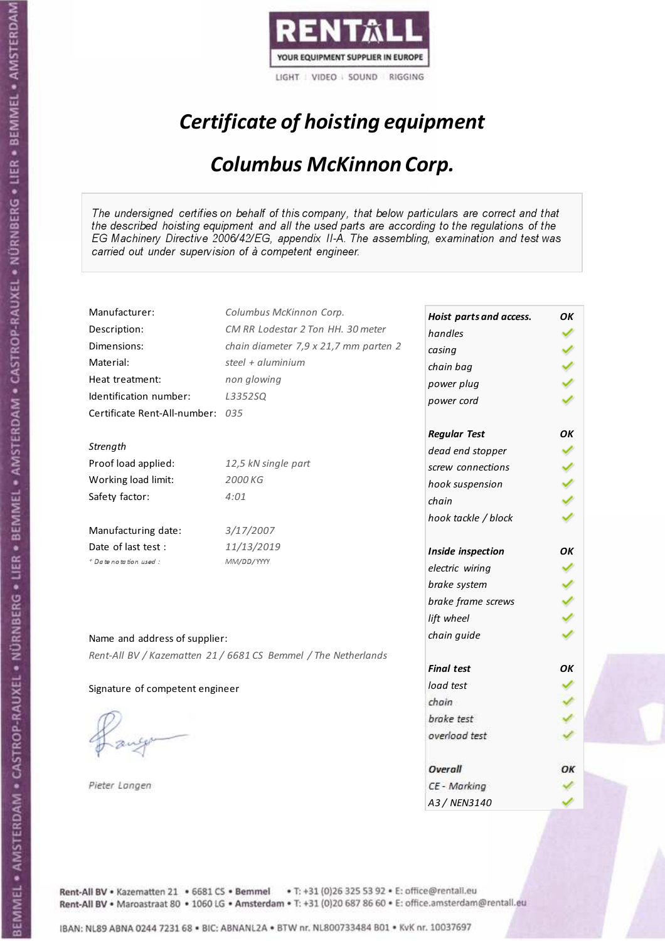

# Certificate of hoisting equipment

#### Columbus McKinnon Corp.

The undersigned certifies on behalf of this company, that below particulars are correct and that the described hoisting equipment and all the used parts are according to the regulations of the EG Machinery Directive 2006/42/EG, appendix II-A. The assembling, examination and test was carried out under supervision of à competent engineer.

| Manufacturer:                    | Columbus McKinnon Corp.                                        | Hoist parts and access. | OK |
|----------------------------------|----------------------------------------------------------------|-------------------------|----|
| Description:                     | CM RR Lodestar 2 Ton HH. 30 meter                              | handles                 |    |
| Dimensions:                      | chain diameter 7,9 x 21,7 mm parten 2                          | casing                  |    |
| Material:                        | steel + aluminium                                              | chain bag               |    |
| Heat treatment:                  | non glowing                                                    | power plug              |    |
| Identification number:           | L3352SQ                                                        | power cord              |    |
| Certificate Rent-All-number: 035 |                                                                |                         |    |
|                                  |                                                                | <b>Regular Test</b>     | OК |
| Strength                         |                                                                | dead end stopper        |    |
| Proof load applied:              | 12,5 kN single part                                            | screw connections       |    |
| Working load limit:              | 2000 KG                                                        | hook suspension         |    |
| Safety factor:                   | 4:01                                                           | chain                   |    |
|                                  |                                                                | hook tackle / block     |    |
| Manufacturing date:              | 3/17/2007                                                      |                         |    |
| Date of last test :              | 11/13/2019                                                     | Inside inspection       | OK |
| + Date notation used:            | MM/DD/YYYY                                                     | electric wiring         |    |
|                                  |                                                                | brake system            |    |
|                                  |                                                                | brake frame screws      |    |
|                                  |                                                                | lift wheel              |    |
| Name and address of supplier:    |                                                                | chain guide             |    |
|                                  | Rent-All BV / Kazematten 21 / 6681 CS Bemmel / The Netherlands |                         |    |
|                                  |                                                                | <b>Final test</b>       | OК |
| Signature of competent engineer  |                                                                | load test               |    |
|                                  |                                                                | chain                   |    |
|                                  |                                                                | brake test              |    |
|                                  |                                                                | overload test           |    |
|                                  |                                                                |                         |    |
|                                  |                                                                | Overall                 | ОΚ |
| Pieter Langen                    |                                                                | CE - Marking            |    |
|                                  |                                                                | A3 / NEN3140            |    |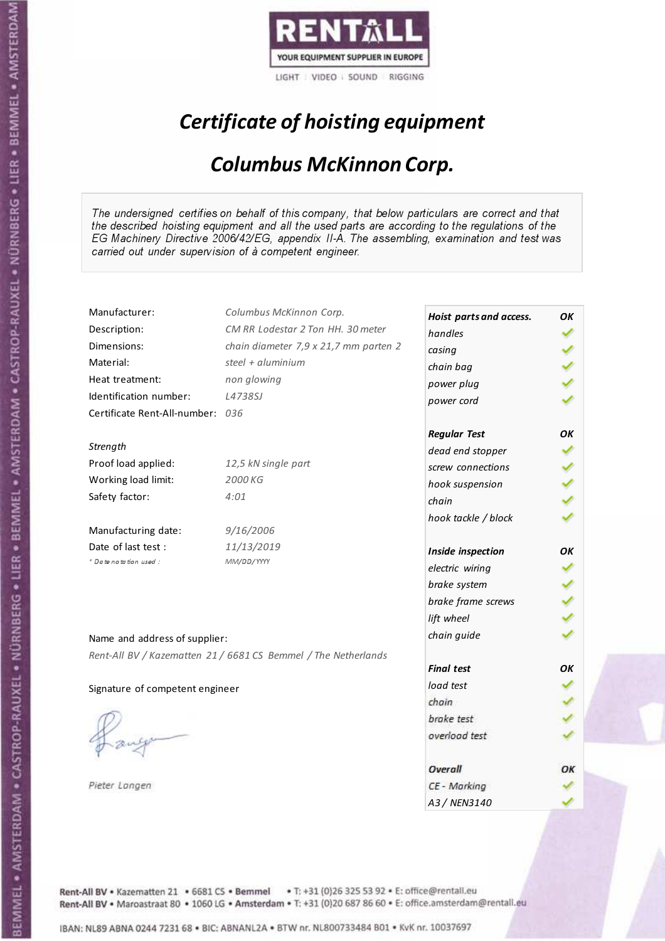

# Certificate of hoisting equipment

#### Columbus McKinnon Corp.

The undersigned certifies on behalf of this company, that below particulars are correct and that the described hoisting equipment and all the used parts are according to the regulations of the EG Machinery Directive 2006/42/EG, appendix II-A. The assembling, examination and test was carried out under supervision of à competent engineer.

| Manufacturer:                    | Columbus McKinnon Corp.                                        | Hoist parts and access.  | OK |
|----------------------------------|----------------------------------------------------------------|--------------------------|----|
| Description:                     | CM RR Lodestar 2 Ton HH. 30 meter                              | handles                  |    |
| Dimensions:                      | chain diameter 7,9 x 21,7 mm parten 2                          | casing                   |    |
| Material:                        | steel + aluminium                                              | chain bag                |    |
| Heat treatment:                  | non glowing                                                    | power plug               |    |
| Identification number:           | L4738SJ                                                        | power cord               |    |
| Certificate Rent-All-number: 036 |                                                                |                          |    |
|                                  |                                                                | <b>Regular Test</b>      | OK |
| Strength                         |                                                                | dead end stopper         |    |
| Proof load applied:              | 12,5 kN single part                                            | screw connections        |    |
| Working load limit:              | 2000 KG                                                        |                          |    |
| Safety factor:                   | 4:01                                                           | hook suspension<br>chain |    |
|                                  |                                                                |                          |    |
| Manufacturing date:              | 9/16/2006                                                      | hook tackle / block      |    |
| Date of last test :              | 11/13/2019                                                     |                          |    |
| + Date notation used:            | MM/DD/YYYY                                                     | Inside inspection        | OK |
|                                  |                                                                | electric wiring          |    |
|                                  |                                                                | brake system             |    |
|                                  |                                                                | brake frame screws       |    |
|                                  |                                                                | lift wheel               |    |
| Name and address of supplier:    |                                                                | chain guide              |    |
|                                  | Rent-All BV / Kazematten 21 / 6681 CS Bemmel / The Netherlands |                          |    |
|                                  |                                                                | <b>Final test</b>        | OK |
| Signature of competent engineer  |                                                                | load test                |    |
|                                  |                                                                | chain                    |    |
|                                  |                                                                | brake test               |    |
|                                  |                                                                | overload test            |    |
|                                  |                                                                |                          |    |
|                                  |                                                                | Overall                  | ОΚ |
| Pieter Langen                    |                                                                | CE - Marking             |    |
|                                  |                                                                | A3 / NEN3140             |    |

Rent-All BV . Kazematten 21 . 6681 CS . Bemmel . T: +31 (0)26 325 53 92 . E: office@rentall.eu Rent-All BV · Maroastraat 80 · 1060 LG · Amsterdam · T: +31 (0)20 687 86 60 · E: office.amsterdam@rentall.eu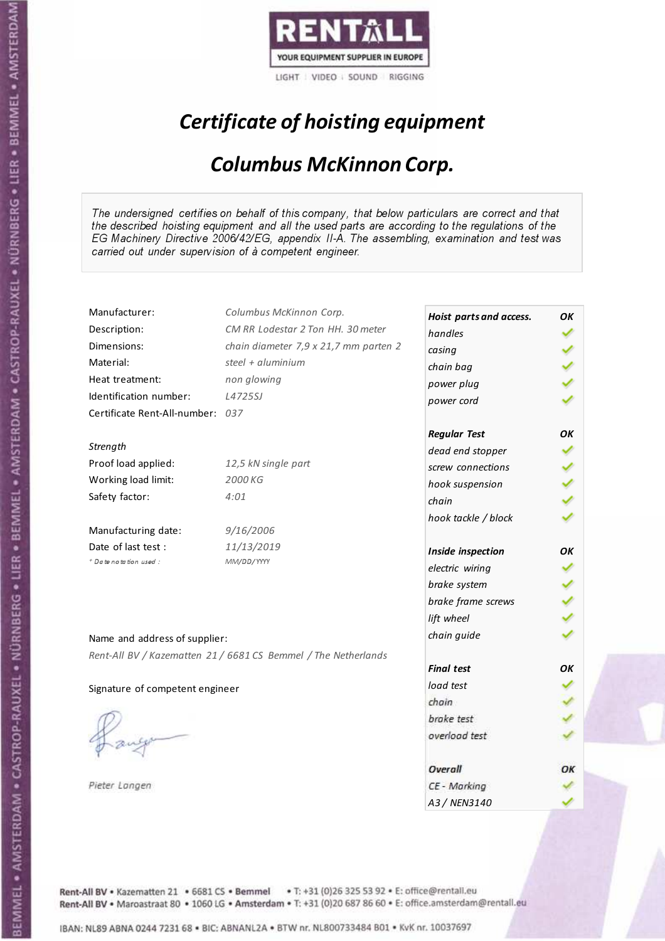

# Certificate of hoisting equipment

#### Columbus McKinnon Corp.

The undersigned certifies on behalf of this company, that below particulars are correct and that the described hoisting equipment and all the used parts are according to the regulations of the EG Machinery Directive 2006/42/EG, appendix II-A. The assembling, examination and test was carried out under supervision of à competent engineer.

| Manufacturer:                    | Columbus McKinnon Corp.                                        | Hoist parts and access. | OK |
|----------------------------------|----------------------------------------------------------------|-------------------------|----|
| Description:                     | CM RR Lodestar 2 Ton HH. 30 meter                              | handles                 |    |
| Dimensions:                      | chain diameter 7,9 x 21,7 mm parten 2                          | casing                  |    |
| Material:                        | steel + aluminium                                              | chain bag               |    |
| Heat treatment:                  | non glowing                                                    | power plug              |    |
| Identification number:           | L4725SJ                                                        | power cord              |    |
| Certificate Rent-All-number: 037 |                                                                |                         |    |
|                                  |                                                                | <b>Regular Test</b>     | OK |
| Strength                         |                                                                | dead end stopper        |    |
| Proof load applied:              | 12,5 kN single part                                            | screw connections       |    |
| Working load limit:              | 2000 KG                                                        | hook suspension         |    |
| Safety factor:                   | 4:01                                                           | chain                   |    |
|                                  |                                                                | hook tackle / block     |    |
| Manufacturing date:              | 9/16/2006                                                      |                         |    |
| Date of last test:               | 11/13/2019                                                     | Inside inspection       | ΟK |
| + Date notation used:            | MM/DD/YYYY                                                     | electric wiring         |    |
|                                  |                                                                | brake system            |    |
|                                  |                                                                | brake frame screws      |    |
|                                  |                                                                | lift wheel              |    |
| Name and address of supplier:    |                                                                | chain guide             |    |
|                                  | Rent-All BV / Kazematten 21 / 6681 CS Bemmel / The Netherlands |                         |    |
|                                  |                                                                | <b>Final test</b>       | OK |
| Signature of competent engineer  |                                                                | load test               |    |
|                                  |                                                                | chain                   |    |
|                                  |                                                                | brake test              |    |
|                                  |                                                                | overload test           |    |
|                                  |                                                                |                         |    |
|                                  |                                                                | Overall                 | ОΚ |
| Pieter Langen                    |                                                                | CE - Marking            |    |
|                                  |                                                                | A3 / NEN3140            |    |

Rent-All BV . Kazematten 21 . 6681 CS . Bemmel . T: +31 (0)26 325 53 92 . E: office@rentall.eu Rent-All BV · Maroastraat 80 · 1060 LG · Amsterdam · T: +31 (0)20 687 86 60 · E: office.amsterdam@rentall.eu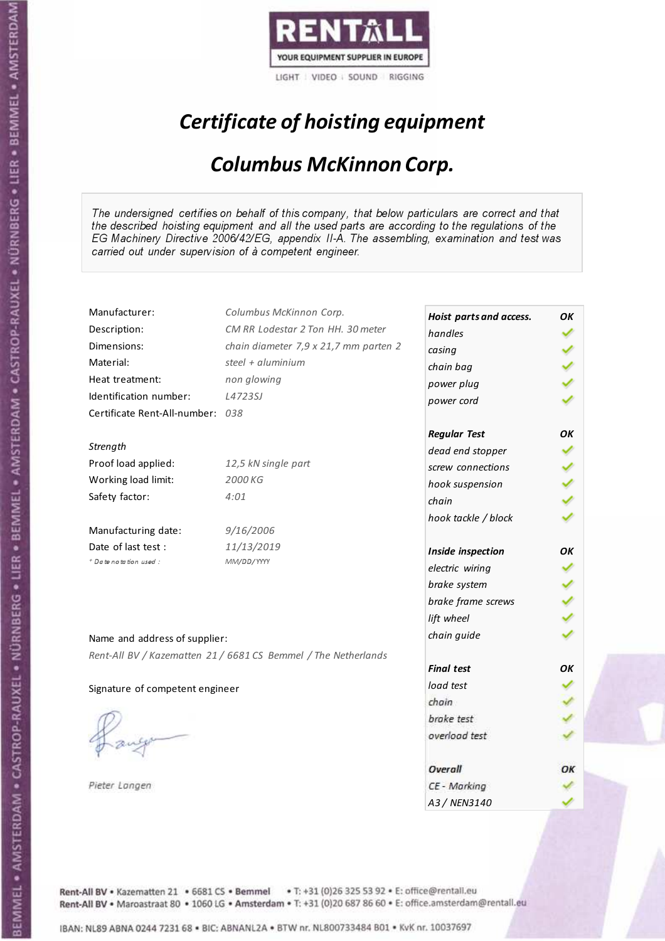

# Certificate of hoisting equipment

#### Columbus McKinnon Corp.

The undersigned certifies on behalf of this company, that below particulars are correct and that the described hoisting equipment and all the used parts are according to the regulations of the EG Machinery Directive 2006/42/EG, appendix II-A. The assembling, examination and test was carried out under supervision of à competent engineer.

| Manufacturer:                    | Columbus McKinnon Corp.                                        | Hoist parts and access. | OK |
|----------------------------------|----------------------------------------------------------------|-------------------------|----|
| Description:                     | CM RR Lodestar 2 Ton HH. 30 meter                              | handles                 |    |
| Dimensions:                      | chain diameter 7,9 x 21,7 mm parten 2                          | casing                  |    |
| Material:                        | steel + aluminium                                              | chain bag               |    |
| Heat treatment:                  | non glowing                                                    | power plug              |    |
| Identification number:           | L4723SJ                                                        | power cord              |    |
| Certificate Rent-All-number: 038 |                                                                |                         |    |
|                                  |                                                                | <b>Regular Test</b>     | OK |
| Strength                         |                                                                | dead end stopper        |    |
| Proof load applied:              | 12,5 kN single part                                            | screw connections       |    |
| Working load limit:              | 2000 KG                                                        | hook suspension         |    |
| Safety factor:                   | 4:01                                                           | chain                   |    |
|                                  |                                                                | hook tackle / block     |    |
| Manufacturing date:              | 9/16/2006                                                      |                         |    |
| Date of last test:               | 11/13/2019                                                     | Inside inspection       | OΚ |
| + Date notation used :           | MM/DD/YYYY                                                     | electric wiring         |    |
|                                  |                                                                | brake system            |    |
|                                  |                                                                | brake frame screws      |    |
|                                  |                                                                | lift wheel              |    |
| Name and address of supplier:    |                                                                | chain guide             |    |
|                                  | Rent-All BV / Kazematten 21 / 6681 CS Bemmel / The Netherlands |                         |    |
|                                  |                                                                | <b>Final test</b>       | OK |
| Signature of competent engineer  |                                                                | load test               |    |
|                                  |                                                                | chain                   |    |
|                                  |                                                                | brake test              |    |
|                                  |                                                                | overload test           |    |
|                                  |                                                                |                         |    |
|                                  |                                                                | Overall                 | ОΚ |
| Pieter Langen                    |                                                                | CE - Marking            |    |
|                                  |                                                                | A3 / NEN3140            |    |

Rent-All BV . Kazematten 21 . 6681 CS . Bemmel . T: +31 (0)26 325 53 92 . E: office@rentall.eu Rent-All BV · Maroastraat 80 · 1060 LG · Amsterdam · T: +31 (0)20 687 86 60 · E: office.amsterdam@rentall.eu